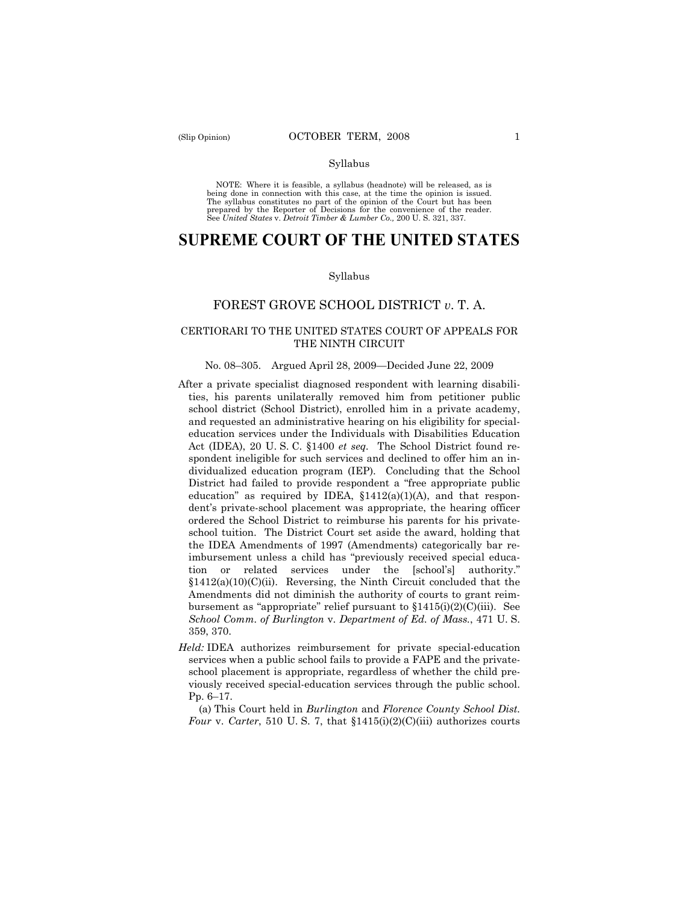#### Syllabus

NOTE: Where it is feasible, a syllabus (headnote) will be released, as is being done in connection with this case, at the time the opinion is issued. The syllabus constitutes no part of the opinion of the Court but has been<br>prepared by the Reporter of Decisions for the convenience of the reader.<br>See United States v. Detroit Timber & Lumber Co., 200 U. S. 321, 337.

# **SUPREME COURT OF THE UNITED STATES**

#### Syllabus

### FOREST GROVE SCHOOL DISTRICT *v*. T. A.

### CERTIORARI TO THE UNITED STATES COURT OF APPEALS FOR THE NINTH CIRCUIT

#### No. 08–305. Argued April 28, 2009—Decided June 22, 2009

- After a private specialist diagnosed respondent with learning disabilities, his parents unilaterally removed him from petitioner public school district (School District), enrolled him in a private academy, and requested an administrative hearing on his eligibility for specialeducation services under the Individuals with Disabilities Education Act (IDEA), 20 U. S. C. §1400 *et seq.* The School District found respondent ineligible for such services and declined to offer him an individualized education program (IEP). Concluding that the School District had failed to provide respondent a "free appropriate public education" as required by IDEA,  $$1412(a)(1)(A)$ , and that respondent's private-school placement was appropriate, the hearing officer ordered the School District to reimburse his parents for his privateschool tuition. The District Court set aside the award, holding that the IDEA Amendments of 1997 (Amendments) categorically bar reimbursement unless a child has "previously received special education or related services under the [school's] authority."  $$1412(a)(10)(C)(ii)$ . Reversing, the Ninth Circuit concluded that the Amendments did not diminish the authority of courts to grant reimbursement as "appropriate" relief pursuant to  $$1415(i)(2)(C(iii)$ . See *School Comm. of Burlington* v. *Department of Ed. of Mass.*, 471 U. S. 359, 370.
- *Held:* IDEA authorizes reimbursement for private special-education services when a public school fails to provide a FAPE and the privateschool placement is appropriate, regardless of whether the child previously received special-education services through the public school. Pp. 6–17.

(a) This Court held in *Burlington* and *Florence County School Dist. Four* v. *Carter*, 510 U.S. 7, that  $$1415(i)(2)(C(iii))$  authorizes courts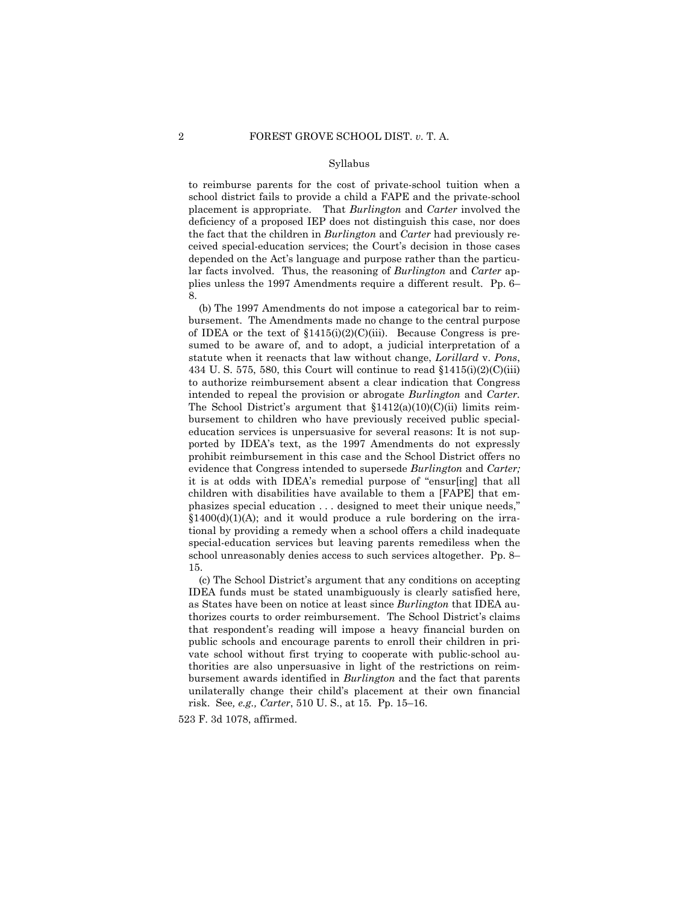#### Syllabus

to reimburse parents for the cost of private-school tuition when a school district fails to provide a child a FAPE and the private-school placement is appropriate. That *Burlington* and *Carter* involved the deficiency of a proposed IEP does not distinguish this case, nor does the fact that the children in *Burlington* and *Carter* had previously received special-education services; the Court's decision in those cases depended on the Act's language and purpose rather than the particular facts involved. Thus, the reasoning of *Burlington* and *Carter* applies unless the 1997 Amendments require a different result. Pp. 6– 8.

(b) The 1997 Amendments do not impose a categorical bar to reimbursement. The Amendments made no change to the central purpose of IDEA or the text of  $$1415(i)(2)(C(iii)$ . Because Congress is presumed to be aware of, and to adopt, a judicial interpretation of a statute when it reenacts that law without change, *Lorillard* v. *Pons*, 434 U.S. 575, 580, this Court will continue to read  $$1415(i)(2)(C(iii)$ to authorize reimbursement absent a clear indication that Congress intended to repeal the provision or abrogate *Burlington* and *Carter.* The School District's argument that  $$1412(a)(10)(C)(ii)$  limits reimbursement to children who have previously received public specialeducation services is unpersuasive for several reasons: It is not supported by IDEA's text, as the 1997 Amendments do not expressly prohibit reimbursement in this case and the School District offers no evidence that Congress intended to supersede *Burlington* and *Carter;* it is at odds with IDEA's remedial purpose of "ensur[ing] that all children with disabilities have available to them a [FAPE] that emphasizes special education . . . designed to meet their unique needs,"  $$1400(d)(1)(A);$  and it would produce a rule bordering on the irrational by providing a remedy when a school offers a child inadequate special-education services but leaving parents remediless when the school unreasonably denies access to such services altogether. Pp. 8– 15.

(c) The School District's argument that any conditions on accepting IDEA funds must be stated unambiguously is clearly satisfied here, as States have been on notice at least since *Burlington* that IDEA authorizes courts to order reimbursement. The School District's claims that respondent's reading will impose a heavy financial burden on public schools and encourage parents to enroll their children in private school without first trying to cooperate with public-school authorities are also unpersuasive in light of the restrictions on reimbursement awards identified in *Burlington* and the fact that parents unilaterally change their child's placement at their own financial risk. See*, e.g., Carter*, 510 U. S., at 15*.* Pp. 15–16.

523 F. 3d 1078, affirmed.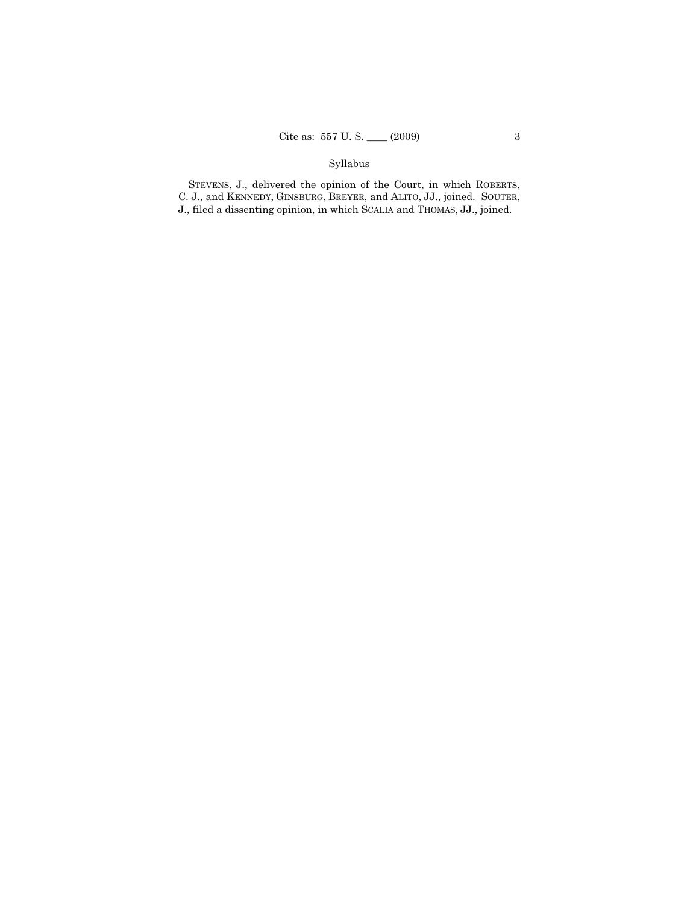# Syllabus

STEVENS, J., delivered the opinion of the Court, in which ROBERTS, C. J., and KENNEDY, GINSBURG, BREYER, and ALITO, JJ., joined. SOUTER, J., filed a dissenting opinion, in which SCALIA and THOMAS, JJ., joined.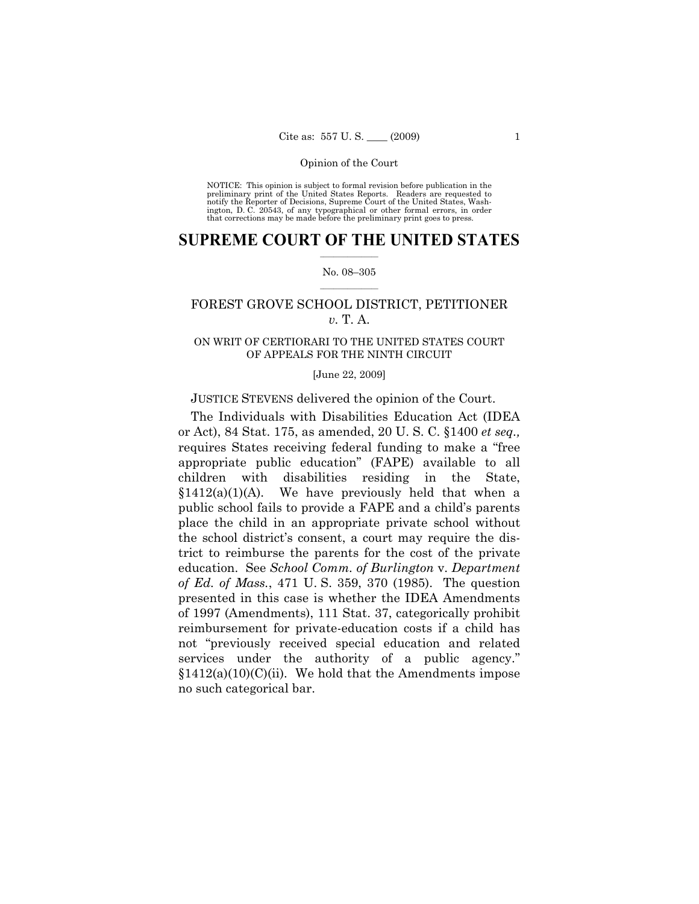NOTICE: This opinion is subject to formal revision before publication in the preliminary print of the United States Reports. Readers are requested to notify the Reporter of Decisions, Supreme Court of the United States, Washington, D. C. 20543, of any typographical or other formal errors, in order that corrections may be made before the preliminary print goes to press.

### $\frac{1}{2}$  ,  $\frac{1}{2}$  ,  $\frac{1}{2}$  ,  $\frac{1}{2}$  ,  $\frac{1}{2}$  ,  $\frac{1}{2}$  ,  $\frac{1}{2}$ **SUPREME COURT OF THE UNITED STATES**

### $\frac{1}{2}$  ,  $\frac{1}{2}$  ,  $\frac{1}{2}$  ,  $\frac{1}{2}$  ,  $\frac{1}{2}$  ,  $\frac{1}{2}$ No. 08–305

# FOREST GROVE SCHOOL DISTRICT, PETITIONER *v.* T. A.

### ON WRIT OF CERTIORARI TO THE UNITED STATES COURT OF APPEALS FOR THE NINTH CIRCUIT

#### [June 22, 2009]

### JUSTICE STEVENS delivered the opinion of the Court.

The Individuals with Disabilities Education Act (IDEA or Act), 84 Stat. 175, as amended, 20 U. S. C. §1400 *et seq.,* requires States receiving federal funding to make a "free appropriate public education" (FAPE) available to all children with disabilities residing in the State,  $$1412(a)(1)(A)$ . We have previously held that when a public school fails to provide a FAPE and a child's parents place the child in an appropriate private school without the school district's consent, a court may require the district to reimburse the parents for the cost of the private education. See *School Comm. of Burlington* v. *Department of Ed. of Mass.*, 471 U. S. 359, 370 (1985). The question presented in this case is whether the IDEA Amendments of 1997 (Amendments), 111 Stat. 37, categorically prohibit reimbursement for private-education costs if a child has not "previously received special education and related services under the authority of a public agency."  $$1412(a)(10)(C)(ii)$ . We hold that the Amendments impose no such categorical bar.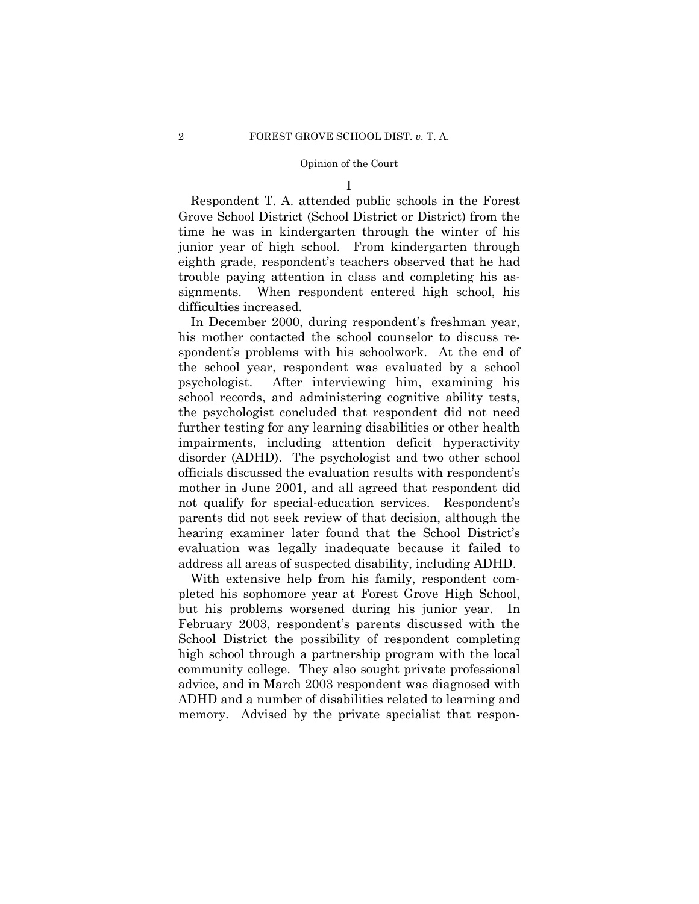I

Respondent T. A. attended public schools in the Forest Grove School District (School District or District) from the time he was in kindergarten through the winter of his junior year of high school. From kindergarten through eighth grade, respondent's teachers observed that he had trouble paying attention in class and completing his assignments. When respondent entered high school, his difficulties increased.

In December 2000, during respondent's freshman year, his mother contacted the school counselor to discuss respondent's problems with his schoolwork. At the end of the school year, respondent was evaluated by a school psychologist. After interviewing him, examining his school records, and administering cognitive ability tests, the psychologist concluded that respondent did not need further testing for any learning disabilities or other health impairments, including attention deficit hyperactivity disorder (ADHD). The psychologist and two other school officials discussed the evaluation results with respondent's mother in June 2001, and all agreed that respondent did not qualify for special-education services. Respondent's parents did not seek review of that decision, although the hearing examiner later found that the School District's evaluation was legally inadequate because it failed to address all areas of suspected disability, including ADHD.

With extensive help from his family, respondent completed his sophomore year at Forest Grove High School, but his problems worsened during his junior year. In February 2003, respondent's parents discussed with the School District the possibility of respondent completing high school through a partnership program with the local community college. They also sought private professional advice, and in March 2003 respondent was diagnosed with ADHD and a number of disabilities related to learning and memory. Advised by the private specialist that respon-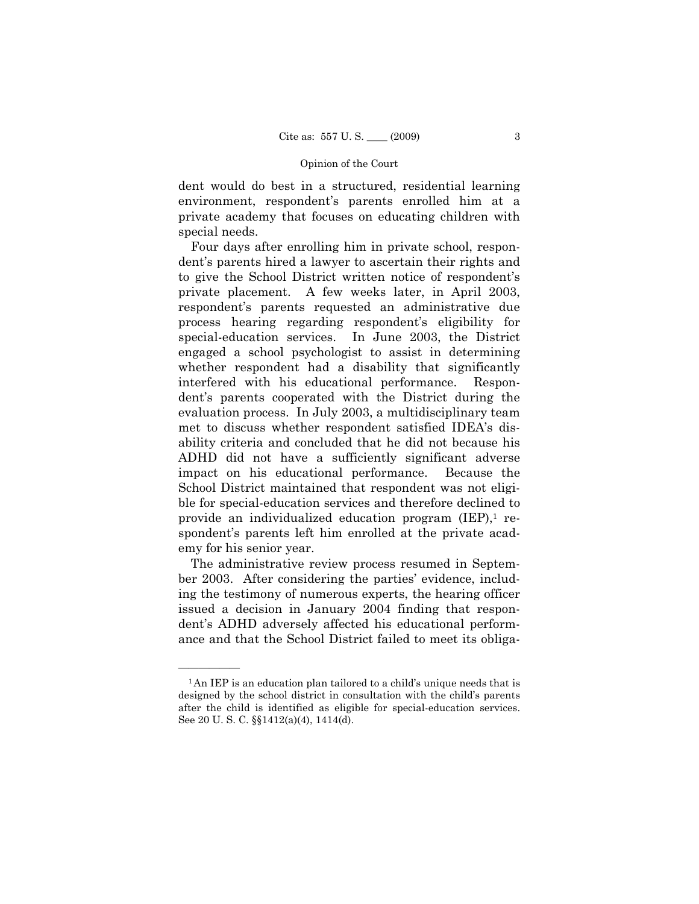dent would do best in a structured, residential learning environment, respondent's parents enrolled him at a private academy that focuses on educating children with special needs.

Four days after enrolling him in private school, respondent's parents hired a lawyer to ascertain their rights and to give the School District written notice of respondent's private placement. A few weeks later, in April 2003, respondent's parents requested an administrative due process hearing regarding respondent's eligibility for special-education services. In June 2003, the District engaged a school psychologist to assist in determining whether respondent had a disability that significantly interfered with his educational performance. Respondent's parents cooperated with the District during the evaluation process. In July 2003, a multidisciplinary team met to discuss whether respondent satisfied IDEA's disability criteria and concluded that he did not because his ADHD did not have a sufficiently significant adverse impact on his educational performance. Because the School District maintained that respondent was not eligible for special-education services and therefore declined to provide an individualized education program  $(IEP)$ , respondent's parents left him enrolled at the private academy for his senior year.

The administrative review process resumed in September 2003. After considering the parties' evidence, including the testimony of numerous experts, the hearing officer issued a decision in January 2004 finding that respondent's ADHD adversely affected his educational performance and that the School District failed to meet its obliga-

<sup>&</sup>lt;sup>1</sup>An IEP is an education plan tailored to a child's unique needs that is designed by the school district in consultation with the child's parents after the child is identified as eligible for special-education services. See 20 U. S. C. §§1412(a)(4), 1414(d).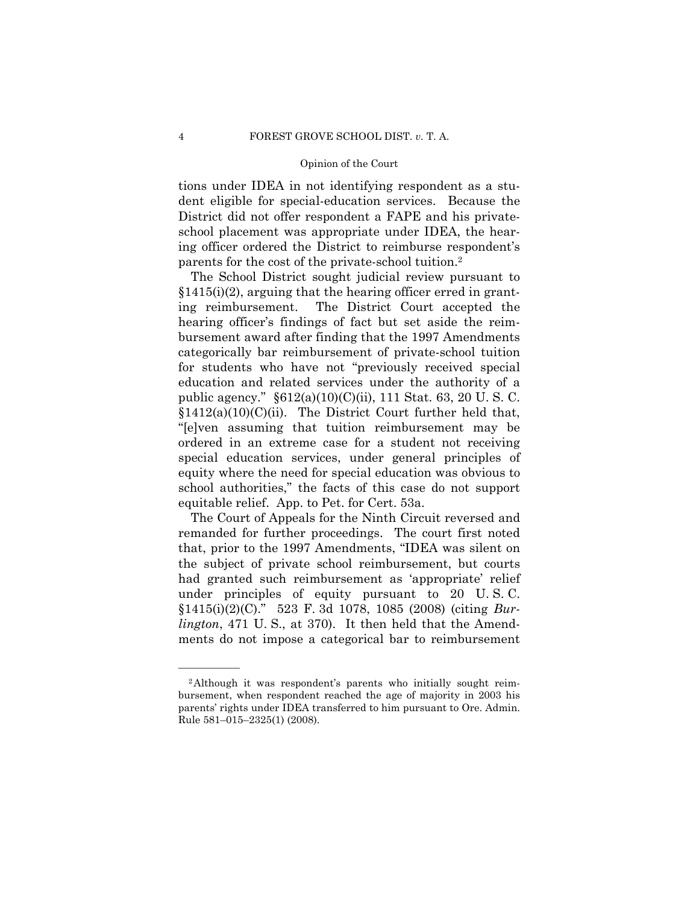tions under IDEA in not identifying respondent as a student eligible for special-education services. Because the District did not offer respondent a FAPE and his privateschool placement was appropriate under IDEA, the hearing officer ordered the District to reimburse respondent's parents for the cost of the private-school tuition.2

The School District sought judicial review pursuant to  $§1415(i)(2)$ , arguing that the hearing officer erred in granting reimbursement. The District Court accepted the hearing officer's findings of fact but set aside the reimbursement award after finding that the 1997 Amendments categorically bar reimbursement of private-school tuition for students who have not "previously received special education and related services under the authority of a public agency." §612(a)(10)(C)(ii), 111 Stat. 63, 20 U. S. C.  $$1412(a)(10)(C)(ii)$ . The District Court further held that, "[e]ven assuming that tuition reimbursement may be ordered in an extreme case for a student not receiving special education services, under general principles of equity where the need for special education was obvious to school authorities," the facts of this case do not support equitable relief. App. to Pet. for Cert. 53a.

The Court of Appeals for the Ninth Circuit reversed and remanded for further proceedings. The court first noted that, prior to the 1997 Amendments, "IDEA was silent on the subject of private school reimbursement, but courts had granted such reimbursement as 'appropriate' relief under principles of equity pursuant to 20 U. S. C. §1415(i)(2)(C)." 523 F. 3d 1078, 1085 (2008) (citing *Burlington*, 471 U. S., at 370). It then held that the Amendments do not impose a categorical bar to reimbursement

<sup>2</sup>Although it was respondent's parents who initially sought reimbursement, when respondent reached the age of majority in 2003 his parents' rights under IDEA transferred to him pursuant to Ore. Admin. Rule 581–015–2325(1) (2008).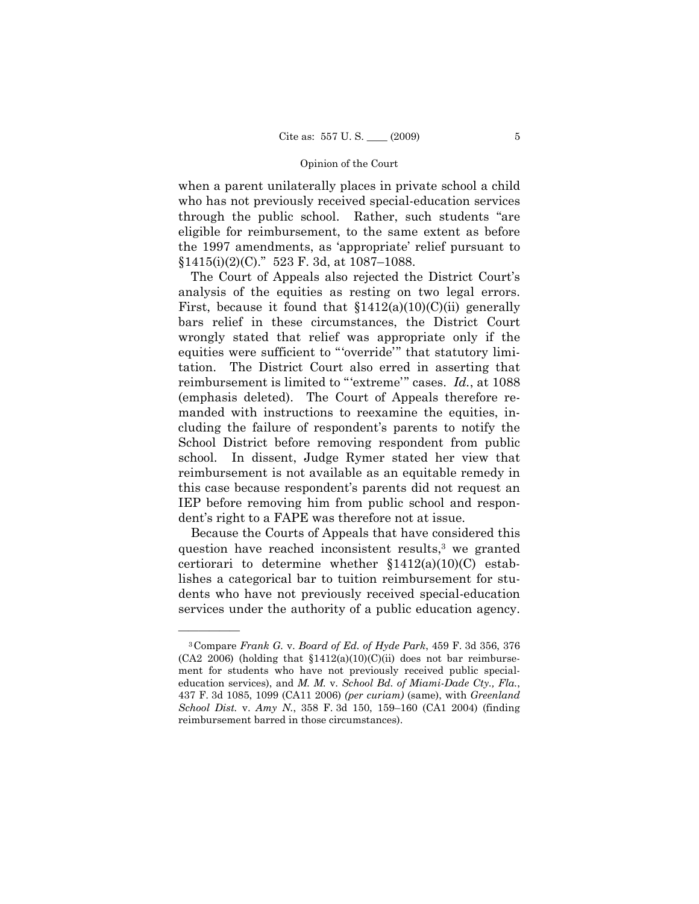when a parent unilaterally places in private school a child who has not previously received special-education services through the public school. Rather, such students "are eligible for reimbursement, to the same extent as before the 1997 amendments, as 'appropriate' relief pursuant to  $$1415(i)(2)(C)$ ." 523 F. 3d, at 1087–1088.

The Court of Appeals also rejected the District Court's analysis of the equities as resting on two legal errors. First, because it found that  $$1412(a)(10)(C)(ii)$  generally bars relief in these circumstances, the District Court wrongly stated that relief was appropriate only if the equities were sufficient to "'override'" that statutory limitation. The District Court also erred in asserting that reimbursement is limited to "'extreme'" cases. *Id.*, at 1088 (emphasis deleted). The Court of Appeals therefore remanded with instructions to reexamine the equities, including the failure of respondent's parents to notify the School District before removing respondent from public school. In dissent, Judge Rymer stated her view that reimbursement is not available as an equitable remedy in this case because respondent's parents did not request an IEP before removing him from public school and respondent's right to a FAPE was therefore not at issue.

Because the Courts of Appeals that have considered this question have reached inconsistent results, <sup>3</sup> we granted certiorari to determine whether §1412(a)(10)(C) establishes a categorical bar to tuition reimbursement for students who have not previously received special-education services under the authority of a public education agency.

<sup>3</sup>Compare *Frank G.* v. *Board of Ed. of Hyde Park*, 459 F. 3d 356, 376  $(CA2 2006)$  (holding that  $$1412(a)(10)(C)(ii)$  does not bar reimbursement for students who have not previously received public specialeducation services), and *M. M.* v. *School Bd. of Miami-Dade Cty., Fla.*, 437 F. 3d 1085, 1099 (CA11 2006) *(per curiam)* (same), with *Greenland School Dist.* v. *Amy N.*, 358 F. 3d 150, 159–160 (CA1 2004) (finding reimbursement barred in those circumstances).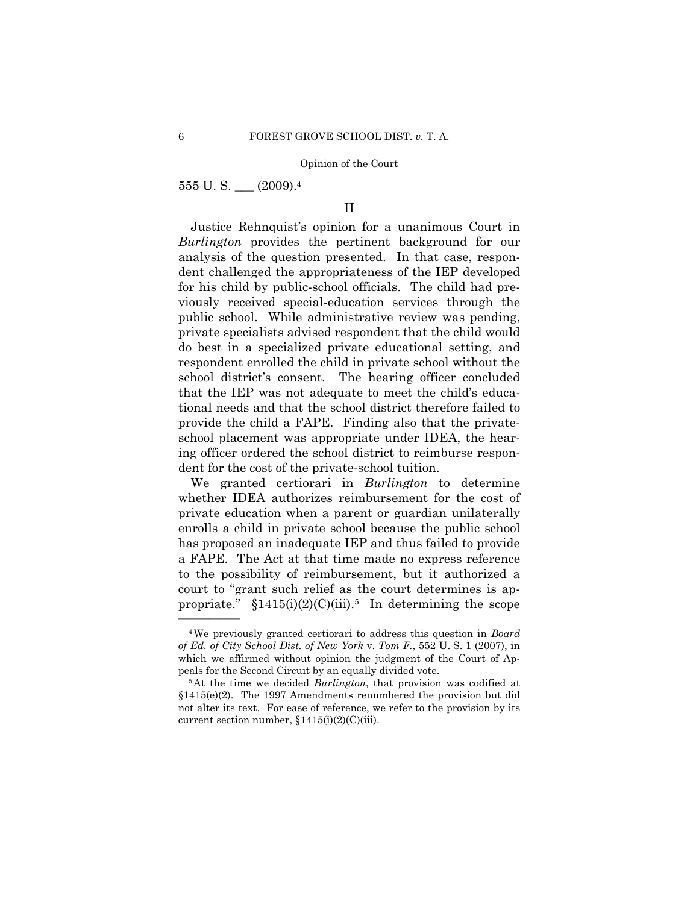555 U. S. \_\_\_ (2009). 4

——————

# II

Justice Rehnquist's opinion for a unanimous Court in *Burlington* provides the pertinent background for our analysis of the question presented. In that case, respondent challenged the appropriateness of the IEP developed for his child by public-school officials. The child had previously received special-education services through the public school. While administrative review was pending, private specialists advised respondent that the child would do best in a specialized private educational setting, and respondent enrolled the child in private school without the school district's consent. The hearing officer concluded that the IEP was not adequate to meet the child's educational needs and that the school district therefore failed to provide the child a FAPE. Finding also that the privateschool placement was appropriate under IDEA, the hearing officer ordered the school district to reimburse respondent for the cost of the private-school tuition.

We granted certiorari in *Burlington* to determine whether IDEA authorizes reimbursement for the cost of private education when a parent or guardian unilaterally enrolls a child in private school because the public school has proposed an inadequate IEP and thus failed to provide a FAPE. The Act at that time made no express reference to the possibility of reimbursement, but it authorized a court to "grant such relief as the court determines is appropriate."  $$1415(i)(2)(C)(iii)$ <sup>5</sup> In determining the scope

<sup>4</sup>We previously granted certiorari to address this question in *Board of Ed. of City School Dist. of New York* v. *Tom F.*, 552 U. S. 1 (2007), in which we affirmed without opinion the judgment of the Court of Appeals for the Second Circuit by an equally divided vote. 5At the time we decided *Burlington*, that provision was codified at

<sup>§1415(</sup>e)(2). The 1997 Amendments renumbered the provision but did not alter its text. For ease of reference, we refer to the provision by its current section number, §1415(i)(2)(C)(iii).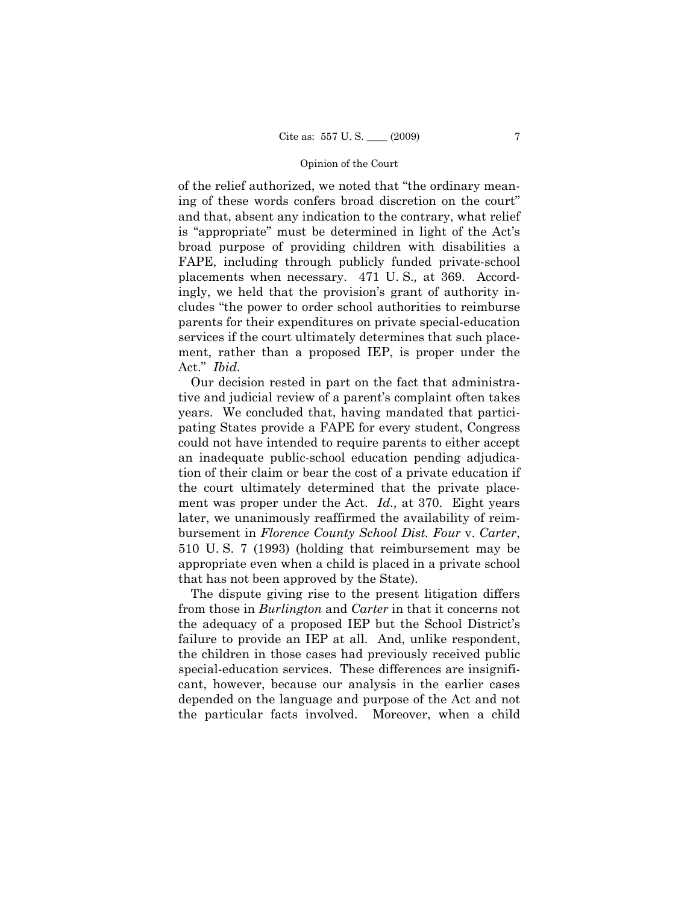of the relief authorized, we noted that "the ordinary meaning of these words confers broad discretion on the court" and that, absent any indication to the contrary, what relief is "appropriate" must be determined in light of the Act's broad purpose of providing children with disabilities a FAPE, including through publicly funded private-school placements when necessary. 471 U. S.*,* at 369. Accordingly, we held that the provision's grant of authority includes "the power to order school authorities to reimburse parents for their expenditures on private special-education services if the court ultimately determines that such placement, rather than a proposed IEP, is proper under the Act." *Ibid.*

Our decision rested in part on the fact that administrative and judicial review of a parent's complaint often takes years. We concluded that, having mandated that participating States provide a FAPE for every student, Congress could not have intended to require parents to either accept an inadequate public-school education pending adjudication of their claim or bear the cost of a private education if the court ultimately determined that the private placement was proper under the Act. *Id.,* at 370. Eight years later, we unanimously reaffirmed the availability of reimbursement in *Florence County School Dist. Four* v. *Carter*, 510 U. S. 7 (1993) (holding that reimbursement may be appropriate even when a child is placed in a private school that has not been approved by the State).

The dispute giving rise to the present litigation differs from those in *Burlington* and *Carter* in that it concerns not the adequacy of a proposed IEP but the School District's failure to provide an IEP at all. And, unlike respondent, the children in those cases had previously received public special-education services. These differences are insignificant, however, because our analysis in the earlier cases depended on the language and purpose of the Act and not the particular facts involved. Moreover, when a child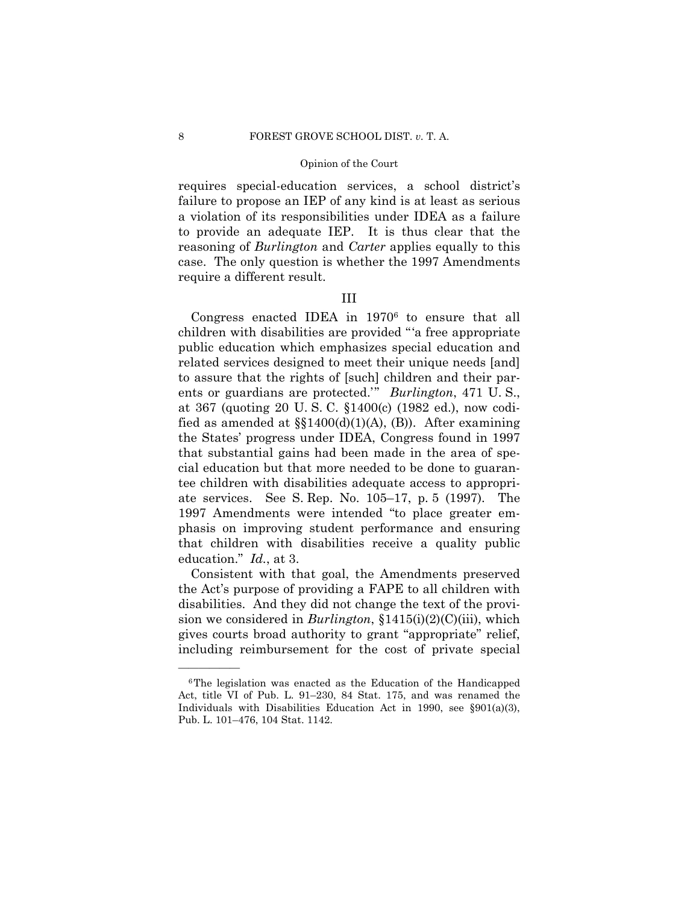requires special-education services, a school district's failure to propose an IEP of any kind is at least as serious a violation of its responsibilities under IDEA as a failure to provide an adequate IEP. It is thus clear that the reasoning of *Burlington* and *Carter* applies equally to this case. The only question is whether the 1997 Amendments require a different result.

# III

Congress enacted IDEA in 19706 to ensure that all children with disabilities are provided "'a free appropriate public education which emphasizes special education and related services designed to meet their unique needs [and] to assure that the rights of [such] children and their parents or guardians are protected.'" *Burlington*, 471 U. S., at 367 (quoting 20 U. S. C. §1400(c) (1982 ed.), now codified as amended at  $\S(1400(d)(1)(A), (B))$ . After examining the States' progress under IDEA, Congress found in 1997 that substantial gains had been made in the area of special education but that more needed to be done to guarantee children with disabilities adequate access to appropriate services. See S. Rep. No. 105–17, p. 5 (1997). The 1997 Amendments were intended "to place greater emphasis on improving student performance and ensuring that children with disabilities receive a quality public education." *Id.*, at 3.

Consistent with that goal, the Amendments preserved the Act's purpose of providing a FAPE to all children with disabilities. And they did not change the text of the provision we considered in *Burlington*, §1415(i)(2)(C)(iii), which gives courts broad authority to grant "appropriate" relief, including reimbursement for the cost of private special

<sup>6</sup>The legislation was enacted as the Education of the Handicapped Act, title VI of Pub. L. 91–230, 84 Stat. 175, and was renamed the Individuals with Disabilities Education Act in 1990, see §901(a)(3), Pub. L. 101–476, 104 Stat. 1142.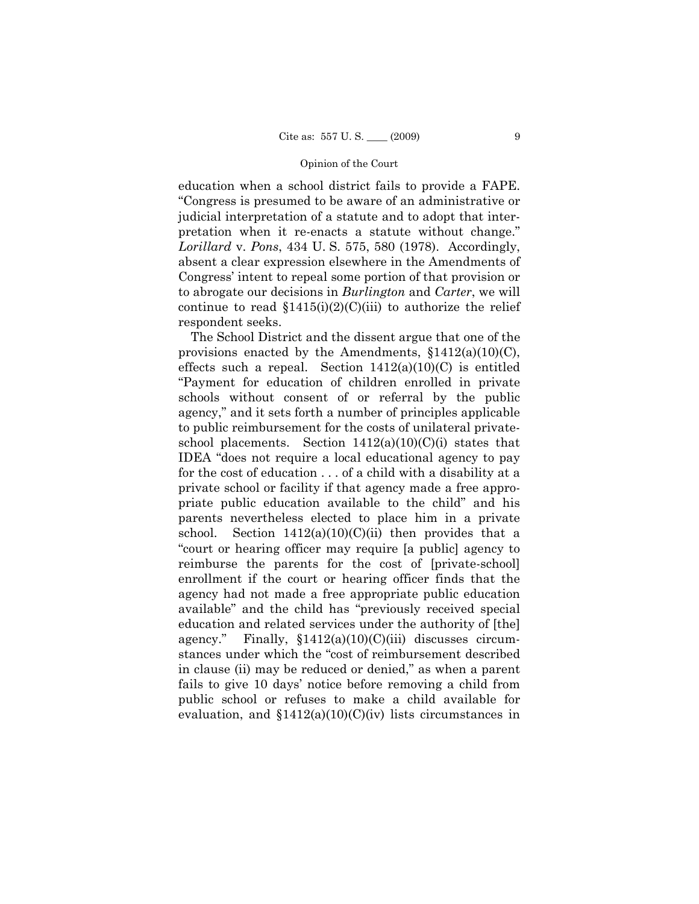education when a school district fails to provide a FAPE. "Congress is presumed to be aware of an administrative or judicial interpretation of a statute and to adopt that interpretation when it re-enacts a statute without change." *Lorillard* v. *Pons*, 434 U. S. 575, 580 (1978). Accordingly, absent a clear expression elsewhere in the Amendments of Congress' intent to repeal some portion of that provision or to abrogate our decisions in *Burlington* and *Carter*, we will continue to read  $$1415(i)(2)(C(iii)$  to authorize the relief respondent seeks.

The School District and the dissent argue that one of the provisions enacted by the Amendments,  $$1412(a)(10)(C)$ , effects such a repeal. Section  $1412(a)(10)(C)$  is entitled "Payment for education of children enrolled in private schools without consent of or referral by the public agency," and it sets forth a number of principles applicable to public reimbursement for the costs of unilateral privateschool placements. Section  $1412(a)(10)(C)(i)$  states that IDEA "does not require a local educational agency to pay for the cost of education . . . of a child with a disability at a private school or facility if that agency made a free appropriate public education available to the child" and his parents nevertheless elected to place him in a private school. Section  $1412(a)(10)(C)(ii)$  then provides that a "court or hearing officer may require [a public] agency to reimburse the parents for the cost of [private-school] enrollment if the court or hearing officer finds that the agency had not made a free appropriate public education available" and the child has "previously received special education and related services under the authority of [the] agency." Finally,  $$1412(a)(10)(C)(iii)$  discusses circumstances under which the "cost of reimbursement described in clause (ii) may be reduced or denied," as when a parent fails to give 10 days' notice before removing a child from public school or refuses to make a child available for evaluation, and  $$1412(a)(10)(C)(iv)$  lists circumstances in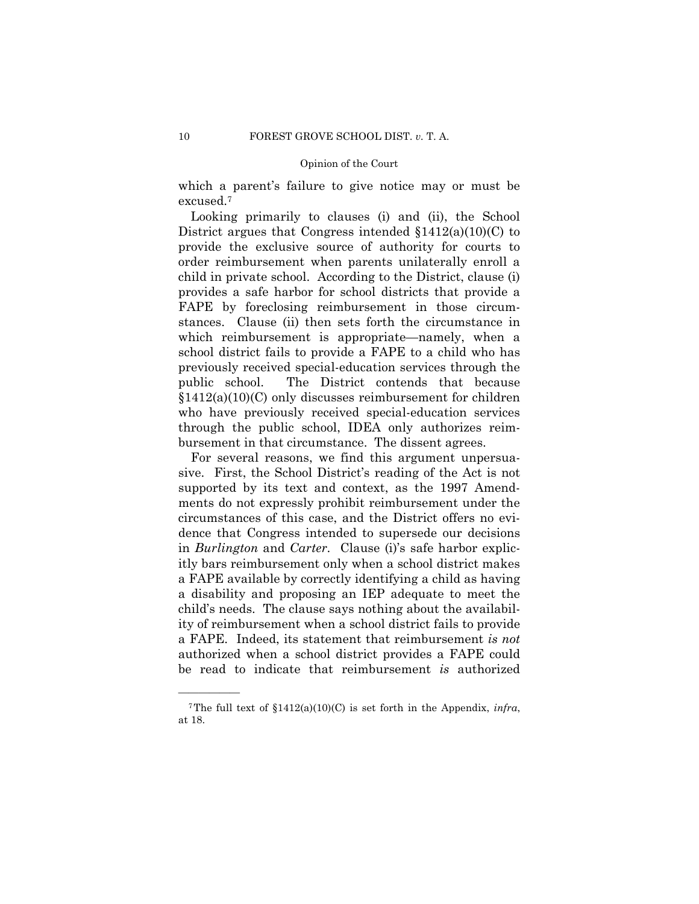which a parent's failure to give notice may or must be excused.7

Looking primarily to clauses (i) and (ii), the School District argues that Congress intended §1412(a)(10)(C) to provide the exclusive source of authority for courts to order reimbursement when parents unilaterally enroll a child in private school. According to the District, clause (i) provides a safe harbor for school districts that provide a FAPE by foreclosing reimbursement in those circumstances. Clause (ii) then sets forth the circumstance in which reimbursement is appropriate—namely, when a school district fails to provide a FAPE to a child who has previously received special-education services through the public school. The District contends that because §1412(a)(10)(C) only discusses reimbursement for children who have previously received special-education services through the public school, IDEA only authorizes reimbursement in that circumstance. The dissent agrees.

For several reasons, we find this argument unpersuasive. First, the School District's reading of the Act is not supported by its text and context, as the 1997 Amendments do not expressly prohibit reimbursement under the circumstances of this case, and the District offers no evidence that Congress intended to supersede our decisions in *Burlington* and *Carter*. Clause (i)'s safe harbor explicitly bars reimbursement only when a school district makes a FAPE available by correctly identifying a child as having a disability and proposing an IEP adequate to meet the child's needs. The clause says nothing about the availability of reimbursement when a school district fails to provide a FAPE. Indeed, its statement that reimbursement *is not* authorized when a school district provides a FAPE could be read to indicate that reimbursement *is* authorized

<sup>&</sup>lt;sup>7</sup>The full text of  $$1412(a)(10)(C)$  is set forth in the Appendix, *infra*, at 18.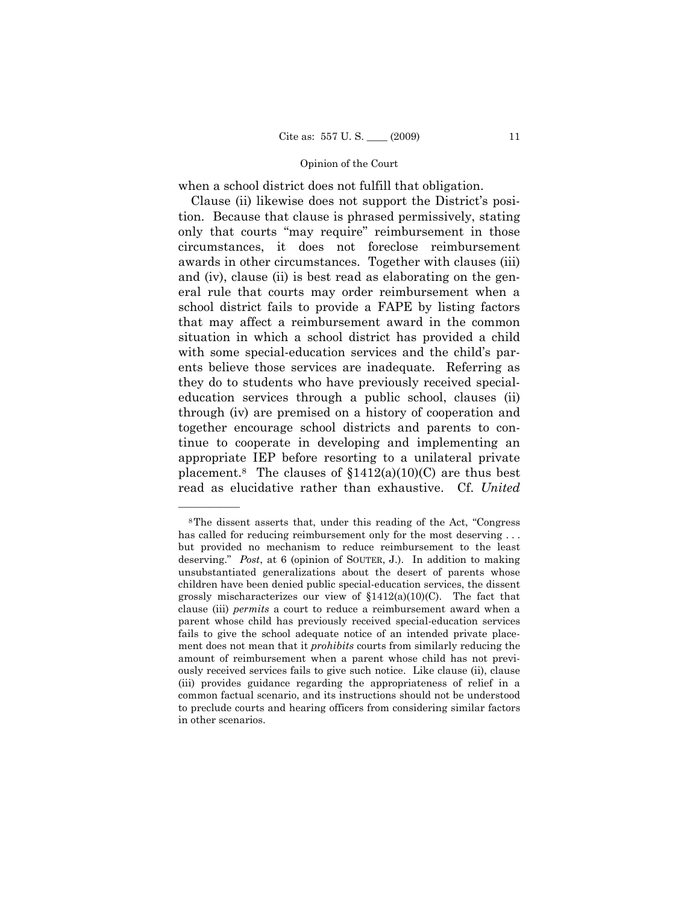when a school district does not fulfill that obligation.

Clause (ii) likewise does not support the District's position. Because that clause is phrased permissively, stating only that courts "may require" reimbursement in those circumstances, it does not foreclose reimbursement awards in other circumstances. Together with clauses (iii) and (iv), clause (ii) is best read as elaborating on the general rule that courts may order reimbursement when a school district fails to provide a FAPE by listing factors that may affect a reimbursement award in the common situation in which a school district has provided a child with some special-education services and the child's parents believe those services are inadequate. Referring as they do to students who have previously received specialeducation services through a public school, clauses (ii) through (iv) are premised on a history of cooperation and together encourage school districts and parents to continue to cooperate in developing and implementing an appropriate IEP before resorting to a unilateral private placement.<sup>8</sup> The clauses of  $$1412(a)(10)(C)$  are thus best read as elucidative rather than exhaustive. Cf. *United*

<sup>8</sup>The dissent asserts that, under this reading of the Act, "Congress has called for reducing reimbursement only for the most deserving ... but provided no mechanism to reduce reimbursement to the least deserving." *Post*, at 6 (opinion of SOUTER, J.). In addition to making unsubstantiated generalizations about the desert of parents whose children have been denied public special-education services, the dissent grossly mischaracterizes our view of §1412(a)(10)(C). The fact that clause (iii) *permits* a court to reduce a reimbursement award when a parent whose child has previously received special-education services fails to give the school adequate notice of an intended private placement does not mean that it *prohibits* courts from similarly reducing the amount of reimbursement when a parent whose child has not previously received services fails to give such notice. Like clause (ii), clause (iii) provides guidance regarding the appropriateness of relief in a common factual scenario, and its instructions should not be understood to preclude courts and hearing officers from considering similar factors in other scenarios.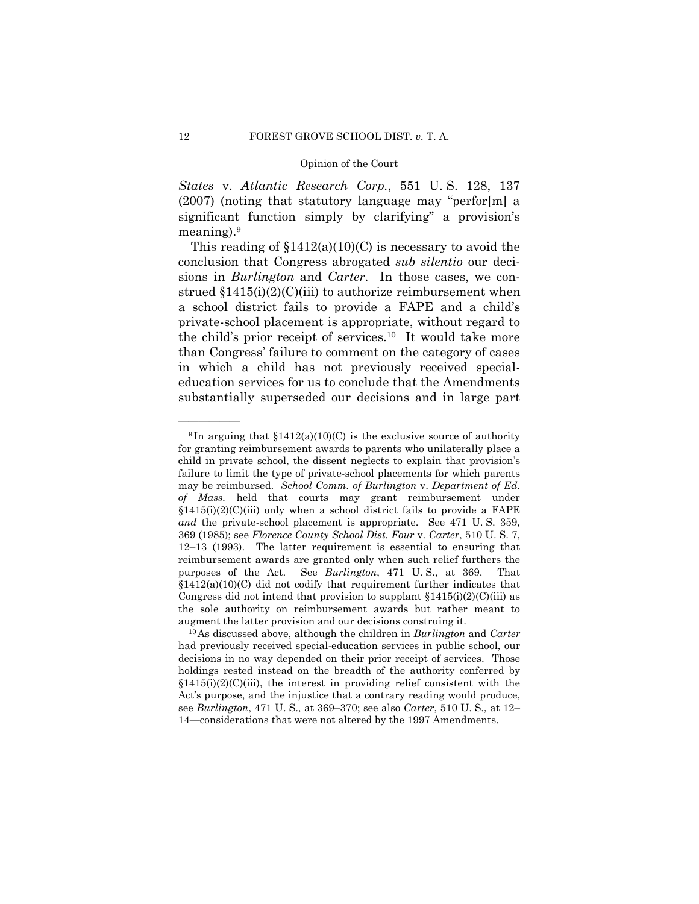*States* v. *Atlantic Research Corp.*, 551 U. S. 128, 137 (2007) (noting that statutory language may "perfor[m] a significant function simply by clarifying" a provision's meaning).9

This reading of  $$1412(a)(10)(C)$  is necessary to avoid the conclusion that Congress abrogated *sub silentio* our decisions in *Burlington* and *Carter*. In those cases, we construed  $$1415(i)(2)(C(iii)$  to authorize reimbursement when a school district fails to provide a FAPE and a child's private-school placement is appropriate, without regard to the child's prior receipt of services.10 It would take more than Congress' failure to comment on the category of cases in which a child has not previously received specialeducation services for us to conclude that the Amendments substantially superseded our decisions and in large part

<sup>&</sup>lt;sup>9</sup>In arguing that  $$1412(a)(10)(C)$  is the exclusive source of authority for granting reimbursement awards to parents who unilaterally place a child in private school, the dissent neglects to explain that provision's failure to limit the type of private-school placements for which parents may be reimbursed. *School Comm. of Burlington* v. *Department of Ed. of Mass.* held that courts may grant reimbursement under  $$1415(i)(2)(C(iii)$  only when a school district fails to provide a FAPE *and* the private-school placement is appropriate. See 471 U. S. 359, 369 (1985); see *Florence County School Dist. Four* v. *Carter*, 510 U. S. 7, 12–13 (1993). The latter requirement is essential to ensuring that reimbursement awards are granted only when such relief furthers the purposes of the Act. See *Burlington*, 471 U. S., at 369. That  $$1412(a)(10)(C)$  did not codify that requirement further indicates that Congress did not intend that provision to supplant  $$1415(i)(2)(C(iii)$  as the sole authority on reimbursement awards but rather meant to augment the latter provision and our decisions construing it. 10As discussed above, although the children in *Burlington* and *Carter*

had previously received special-education services in public school, our decisions in no way depended on their prior receipt of services. Those holdings rested instead on the breadth of the authority conferred by  $$1415(i)(2)(C(iii))$ , the interest in providing relief consistent with the Act's purpose, and the injustice that a contrary reading would produce, see *Burlington*, 471 U. S., at 369–370; see also *Carter*, 510 U. S., at 12– 14—considerations that were not altered by the 1997 Amendments.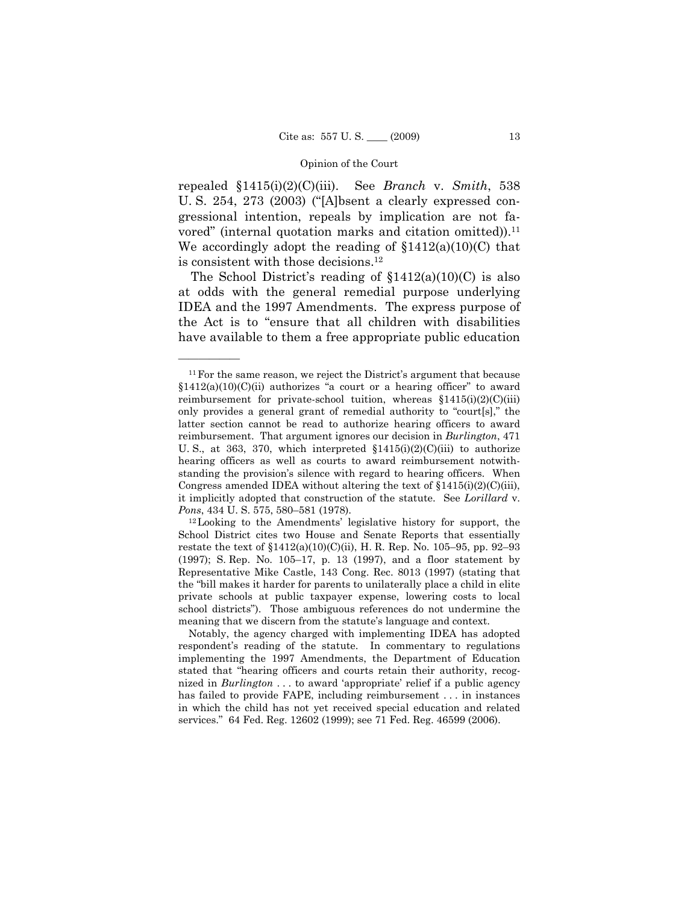repealed §1415(i)(2)(C)(iii). See *Branch* v. *Smith*, 538 U. S. 254, 273 (2003) ("[A]bsent a clearly expressed congressional intention, repeals by implication are not favored" (internal quotation marks and citation omitted)).<sup>11</sup> We accordingly adopt the reading of  $$1412(a)(10)(C)$  that is consistent with those decisions. 12

The School District's reading of  $$1412(a)(10)(C)$  is also at odds with the general remedial purpose underlying IDEA and the 1997 Amendments. The express purpose of the Act is to "ensure that all children with disabilities have available to them a free appropriate public education

<sup>&</sup>lt;sup>11</sup> For the same reason, we reject the District's argument that because  $\S1412(a)(10)(C)(ii)$  authorizes "a court or a hearing officer" to award reimbursement for private-school tuition, whereas  $$1415(i)(2)(C(iii)$ only provides a general grant of remedial authority to "court[s]," the latter section cannot be read to authorize hearing officers to award reimbursement. That argument ignores our decision in *Burlington*, 471 U. S., at 363, 370, which interpreted  $\{1415(i)(2)(C)(iii) \}$  to authorize hearing officers as well as courts to award reimbursement notwithstanding the provision's silence with regard to hearing officers. When Congress amended IDEA without altering the text of  $\{1415(i)(2)(C(iii)\}\)$ , it implicitly adopted that construction of the statute. See *Lorillard* v. *Pons*, 434 U. S. 575, 580–581 (1978).

<sup>12</sup>Looking to the Amendments' legislative history for support, the School District cites two House and Senate Reports that essentially restate the text of §1412(a)(10)(C)(ii), H. R. Rep. No. 105–95, pp. 92–93 (1997); S. Rep. No. 105–17, p. 13 (1997), and a floor statement by Representative Mike Castle, 143 Cong. Rec. 8013 (1997) (stating that the "bill makes it harder for parents to unilaterally place a child in elite private schools at public taxpayer expense, lowering costs to local school districts"). Those ambiguous references do not undermine the meaning that we discern from the statute's language and context.

Notably, the agency charged with implementing IDEA has adopted respondent's reading of the statute. In commentary to regulations implementing the 1997 Amendments, the Department of Education stated that "hearing officers and courts retain their authority, recognized in *Burlington* . . . to award 'appropriate' relief if a public agency has failed to provide FAPE, including reimbursement . . . in instances in which the child has not yet received special education and related services." 64 Fed. Reg. 12602 (1999); see 71 Fed. Reg. 46599 (2006).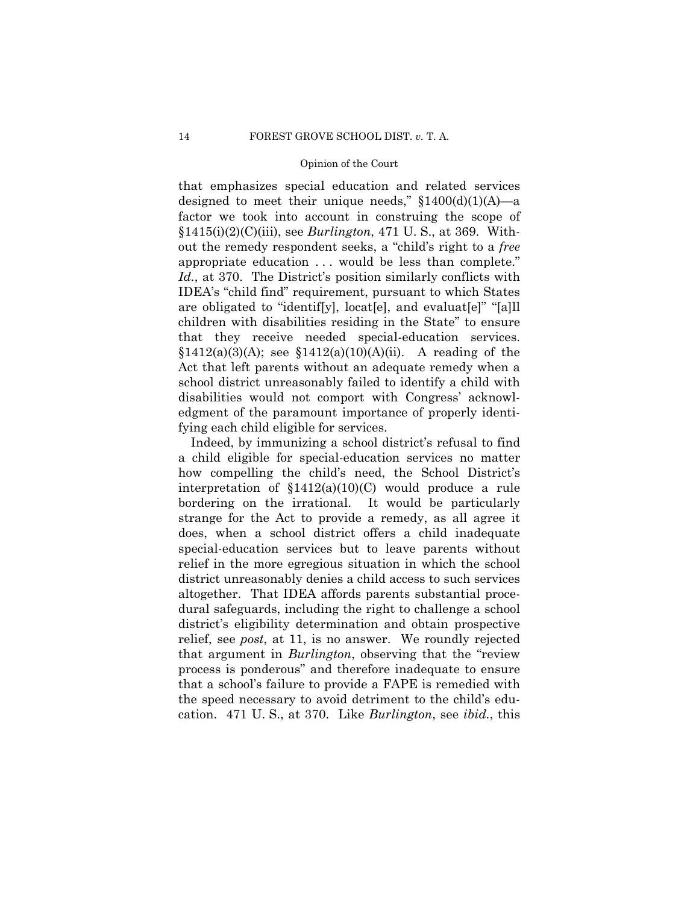that emphasizes special education and related services designed to meet their unique needs,"  $$1400(d)(1)(A)$ —a factor we took into account in construing the scope of §1415(i)(2)(C)(iii), see *Burlington*, 471 U. S., at 369. Without the remedy respondent seeks, a "child's right to a *free* appropriate education . . . would be less than complete." Id., at 370. The District's position similarly conflicts with IDEA's "child find" requirement, pursuant to which States are obligated to "identif[y], locat[e], and evaluat[e]" "[a]ll children with disabilities residing in the State" to ensure that they receive needed special-education services.  $$1412(a)(3)(A);$  see  $$1412(a)(10)(A)(ii).$  A reading of the Act that left parents without an adequate remedy when a school district unreasonably failed to identify a child with disabilities would not comport with Congress' acknowledgment of the paramount importance of properly identifying each child eligible for services.

Indeed, by immunizing a school district's refusal to find a child eligible for special-education services no matter how compelling the child's need, the School District's interpretation of §1412(a)(10)(C) would produce a rule bordering on the irrational. It would be particularly strange for the Act to provide a remedy, as all agree it does, when a school district offers a child inadequate special-education services but to leave parents without relief in the more egregious situation in which the school district unreasonably denies a child access to such services altogether. That IDEA affords parents substantial procedural safeguards, including the right to challenge a school district's eligibility determination and obtain prospective relief, see *post*, at 11, is no answer. We roundly rejected that argument in *Burlington*, observing that the "review process is ponderous" and therefore inadequate to ensure that a school's failure to provide a FAPE is remedied with the speed necessary to avoid detriment to the child's education. 471 U. S., at 370. Like *Burlington*, see *ibid.*, this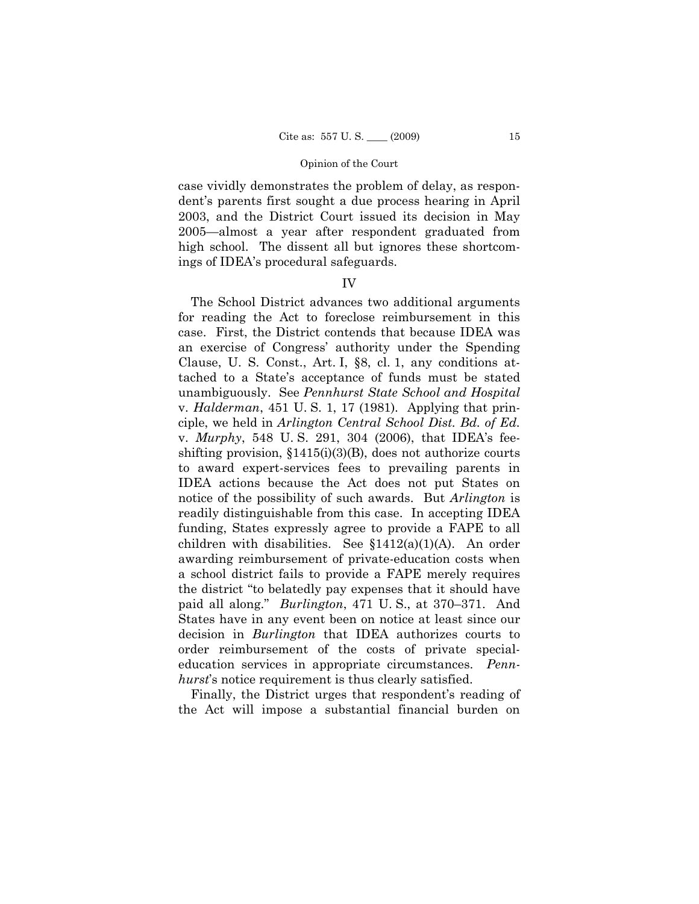case vividly demonstrates the problem of delay, as respondent's parents first sought a due process hearing in April 2003, and the District Court issued its decision in May 2005—almost a year after respondent graduated from high school. The dissent all but ignores these shortcomings of IDEA's procedural safeguards.

### IV

The School District advances two additional arguments for reading the Act to foreclose reimbursement in this case. First, the District contends that because IDEA was an exercise of Congress' authority under the Spending Clause, U. S. Const., Art. I, §8, cl. 1, any conditions attached to a State's acceptance of funds must be stated unambiguously. See *Pennhurst State School and Hospital* v. *Halderman*, 451 U. S. 1, 17 (1981). Applying that principle, we held in *Arlington Central School Dist. Bd. of Ed.* v. *Murphy*, 548 U. S. 291, 304 (2006), that IDEA's feeshifting provision,  $$1415(i)(3)(B)$ , does not authorize courts to award expert-services fees to prevailing parents in IDEA actions because the Act does not put States on notice of the possibility of such awards. But *Arlington* is readily distinguishable from this case. In accepting IDEA funding, States expressly agree to provide a FAPE to all children with disabilities. See  $$1412(a)(1)(A)$ . An order awarding reimbursement of private-education costs when a school district fails to provide a FAPE merely requires the district "to belatedly pay expenses that it should have paid all along." *Burlington*, 471 U. S., at 370–371. And States have in any event been on notice at least since our decision in *Burlington* that IDEA authorizes courts to order reimbursement of the costs of private specialeducation services in appropriate circumstances. *Pennhurst*'s notice requirement is thus clearly satisfied.

Finally, the District urges that respondent's reading of the Act will impose a substantial financial burden on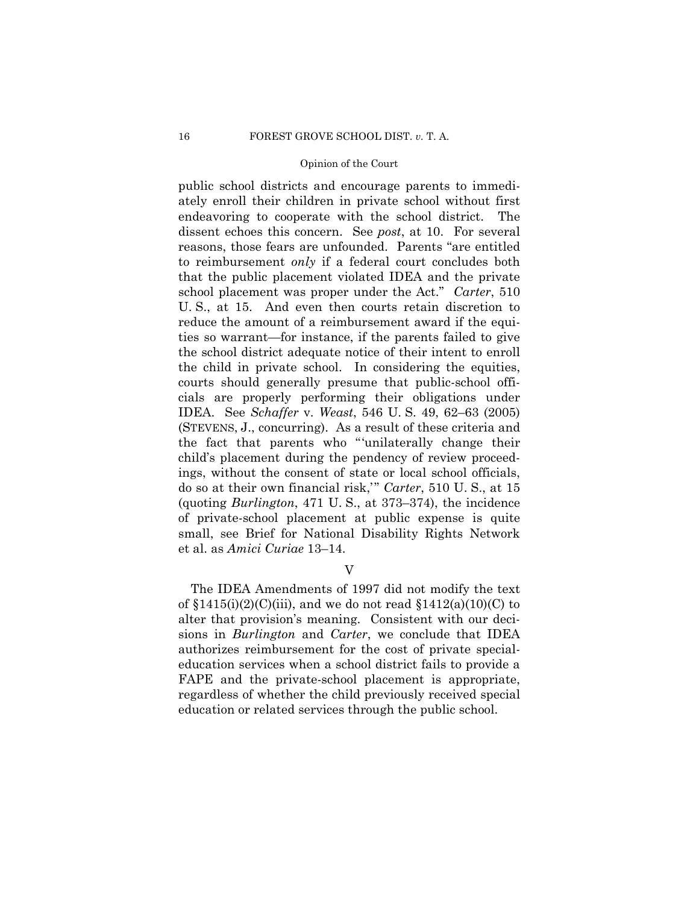public school districts and encourage parents to immediately enroll their children in private school without first endeavoring to cooperate with the school district. The dissent echoes this concern. See *post*, at 10. For several reasons, those fears are unfounded. Parents "are entitled to reimbursement *only* if a federal court concludes both that the public placement violated IDEA and the private school placement was proper under the Act." *Carter*, 510 U. S., at 15. And even then courts retain discretion to reduce the amount of a reimbursement award if the equities so warrant—for instance, if the parents failed to give the school district adequate notice of their intent to enroll the child in private school. In considering the equities, courts should generally presume that public-school officials are properly performing their obligations under IDEA. See *Schaffer* v. *Weast*, 546 U. S. 49, 62–63 (2005) (STEVENS, J., concurring). As a result of these criteria and the fact that parents who "'unilaterally change their child's placement during the pendency of review proceedings, without the consent of state or local school officials, do so at their own financial risk,'" *Carter*, 510 U. S., at 15 (quoting *Burlington*, 471 U. S., at 373–374), the incidence of private-school placement at public expense is quite small, see Brief for National Disability Rights Network et al. as *Amici Curiae* 13–14.

V

The IDEA Amendments of 1997 did not modify the text of  $$1415(i)(2)(C(iii)$ , and we do not read  $$1412(a)(10)(C)$  to alter that provision's meaning. Consistent with our decisions in *Burlington* and *Carter*, we conclude that IDEA authorizes reimbursement for the cost of private specialeducation services when a school district fails to provide a FAPE and the private-school placement is appropriate, regardless of whether the child previously received special education or related services through the public school.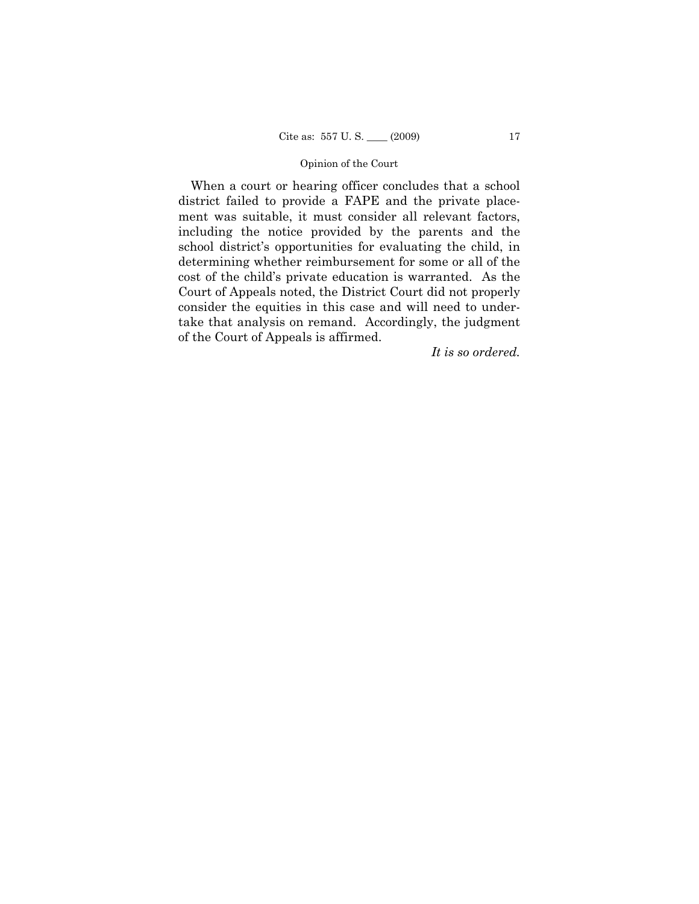When a court or hearing officer concludes that a school district failed to provide a FAPE and the private placement was suitable, it must consider all relevant factors, including the notice provided by the parents and the school district's opportunities for evaluating the child, in determining whether reimbursement for some or all of the cost of the child's private education is warranted. As the Court of Appeals noted, the District Court did not properly consider the equities in this case and will need to undertake that analysis on remand. Accordingly, the judgment of the Court of Appeals is affirmed.

*It is so ordered.*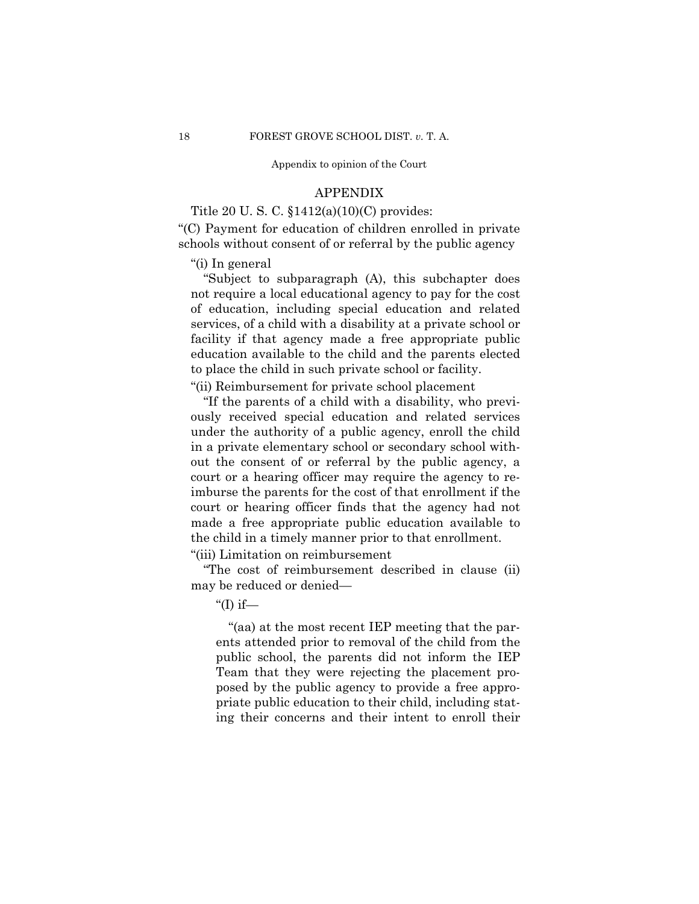Appendix to opinion of the Court

### APPENDIX

Title 20 U. S. C. §1412(a)(10)(C) provides:

"(C) Payment for education of children enrolled in private schools without consent of or referral by the public agency

"(i) In general

"Subject to subparagraph (A), this subchapter does not require a local educational agency to pay for the cost of education, including special education and related services, of a child with a disability at a private school or facility if that agency made a free appropriate public education available to the child and the parents elected to place the child in such private school or facility.

"(ii) Reimbursement for private school placement

"If the parents of a child with a disability, who previously received special education and related services under the authority of a public agency, enroll the child in a private elementary school or secondary school without the consent of or referral by the public agency, a court or a hearing officer may require the agency to reimburse the parents for the cost of that enrollment if the court or hearing officer finds that the agency had not made a free appropriate public education available to the child in a timely manner prior to that enrollment.

"(iii) Limitation on reimbursement

"The cost of reimbursement described in clause (ii) may be reduced or denied—

"(I) if—

"(aa) at the most recent IEP meeting that the parents attended prior to removal of the child from the public school, the parents did not inform the IEP Team that they were rejecting the placement proposed by the public agency to provide a free appropriate public education to their child, including stating their concerns and their intent to enroll their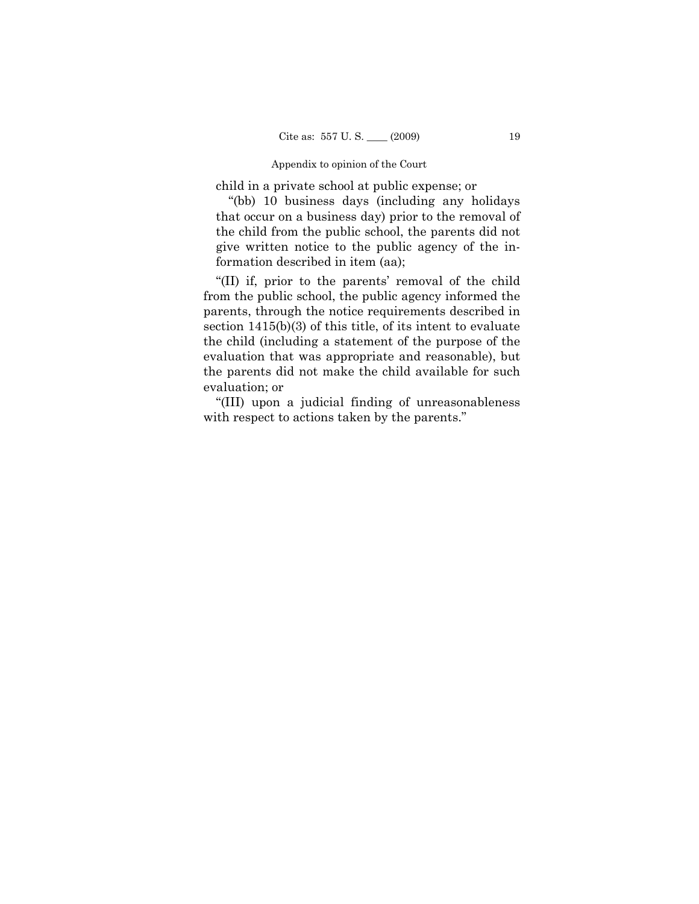#### Appendix to opinion of the Court

child in a private school at public expense; or

"(bb) 10 business days (including any holidays that occur on a business day) prior to the removal of the child from the public school, the parents did not give written notice to the public agency of the information described in item (aa);

"(II) if, prior to the parents' removal of the child from the public school, the public agency informed the parents, through the notice requirements described in section 1415(b)(3) of this title, of its intent to evaluate the child (including a statement of the purpose of the evaluation that was appropriate and reasonable), but the parents did not make the child available for such evaluation; or

"(III) upon a judicial finding of unreasonableness with respect to actions taken by the parents."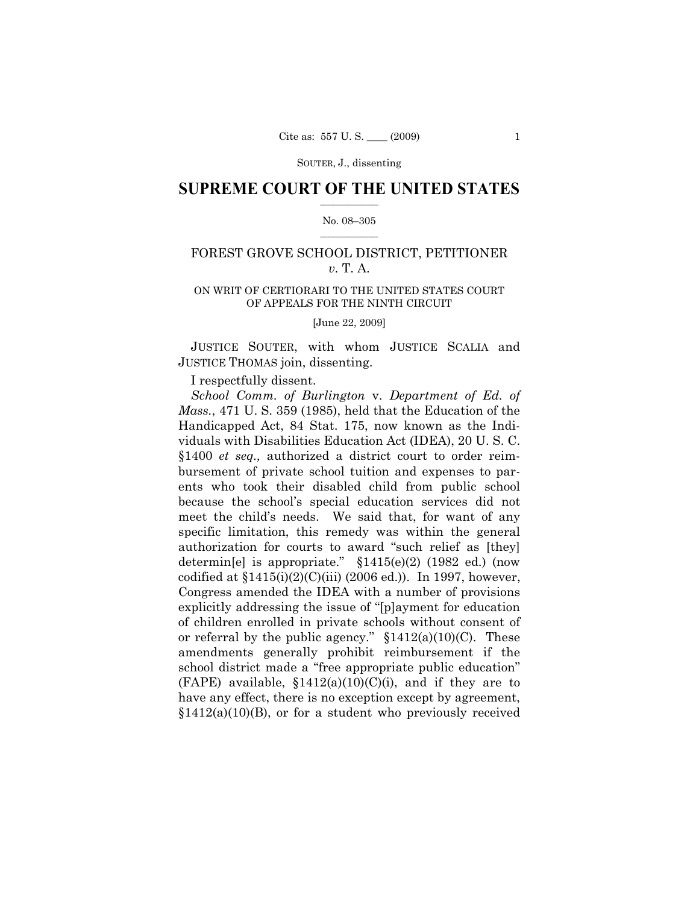### $\frac{1}{2}$  ,  $\frac{1}{2}$  ,  $\frac{1}{2}$  ,  $\frac{1}{2}$  ,  $\frac{1}{2}$  ,  $\frac{1}{2}$  ,  $\frac{1}{2}$ **SUPREME COURT OF THE UNITED STATES**

### $\frac{1}{2}$  ,  $\frac{1}{2}$  ,  $\frac{1}{2}$  ,  $\frac{1}{2}$  ,  $\frac{1}{2}$  ,  $\frac{1}{2}$ No. 08–305

# FOREST GROVE SCHOOL DISTRICT, PETITIONER *v.* T. A.

# ON WRIT OF CERTIORARI TO THE UNITED STATES COURT OF APPEALS FOR THE NINTH CIRCUIT

[June 22, 2009]

JUSTICE SOUTER, with whom JUSTICE SCALIA and JUSTICE THOMAS join, dissenting.

I respectfully dissent.

*School Comm. of Burlington* v. *Department of Ed. of Mass.*, 471 U. S. 359 (1985), held that the Education of the Handicapped Act, 84 Stat. 175, now known as the Individuals with Disabilities Education Act (IDEA), 20 U. S. C. §1400 *et seq.,* authorized a district court to order reimbursement of private school tuition and expenses to parents who took their disabled child from public school because the school's special education services did not meet the child's needs. We said that, for want of any specific limitation, this remedy was within the general authorization for courts to award "such relief as [they] determin[e] is appropriate." §1415(e)(2) (1982 ed.) (now codified at  $$1415(i)(2)(C(iii) (2006 ed.))$ . In 1997, however, Congress amended the IDEA with a number of provisions explicitly addressing the issue of "[p]ayment for education of children enrolled in private schools without consent of or referral by the public agency."  $$1412(a)(10)(C)$ . These amendments generally prohibit reimbursement if the school district made a "free appropriate public education" (FAPE) available,  $$1412(a)(10)(C)(i)$ , and if they are to have any effect, there is no exception except by agreement,  $$1412(a)(10)(B)$ , or for a student who previously received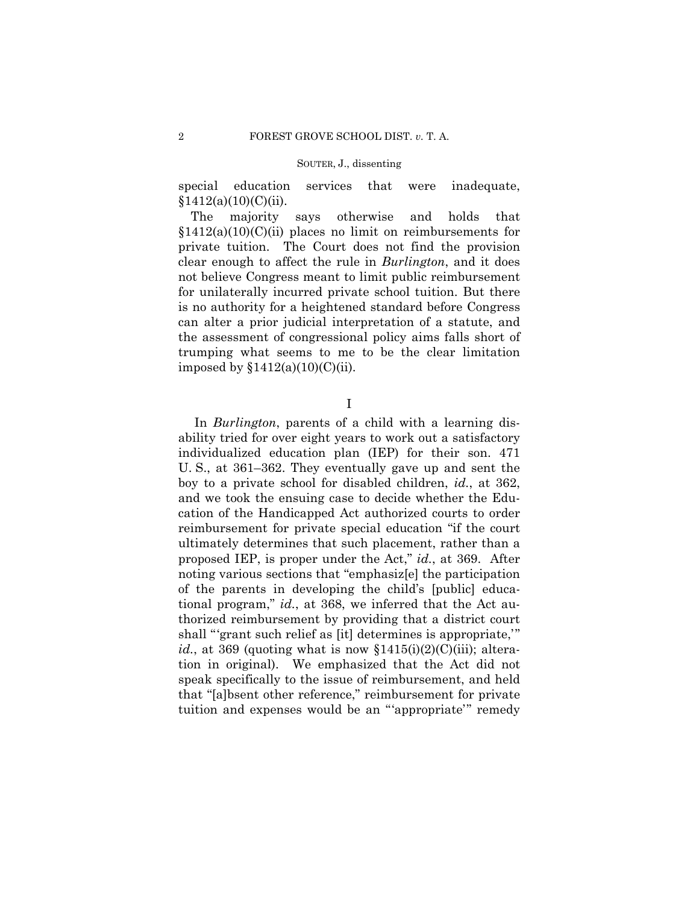special education services that were inadequate,  $$1412(a)(10)(C)(ii).$ 

The majority says otherwise and holds that  $$1412(a)(10)(C)(ii)$  places no limit on reimbursements for private tuition. The Court does not find the provision clear enough to affect the rule in *Burlington*, and it does not believe Congress meant to limit public reimbursement for unilaterally incurred private school tuition. But there is no authority for a heightened standard before Congress can alter a prior judicial interpretation of a statute, and the assessment of congressional policy aims falls short of trumping what seems to me to be the clear limitation imposed by  $$1412(a)(10)(C(ii))$ .

I

In *Burlington*, parents of a child with a learning disability tried for over eight years to work out a satisfactory individualized education plan (IEP) for their son. 471 U. S., at 361–362. They eventually gave up and sent the boy to a private school for disabled children, *id.*, at 362, and we took the ensuing case to decide whether the Education of the Handicapped Act authorized courts to order reimbursement for private special education "if the court ultimately determines that such placement, rather than a proposed IEP, is proper under the Act," *id.*, at 369. After noting various sections that "emphasiz[e] the participation of the parents in developing the child's [public] educational program," *id.*, at 368, we inferred that the Act authorized reimbursement by providing that a district court shall "'grant such relief as [it] determines is appropriate,'" *id.*, at 369 (quoting what is now  $$1415(i)(2)(C(iii))$ ; alteration in original). We emphasized that the Act did not speak specifically to the issue of reimbursement, and held that "[a]bsent other reference," reimbursement for private tuition and expenses would be an "'appropriate'" remedy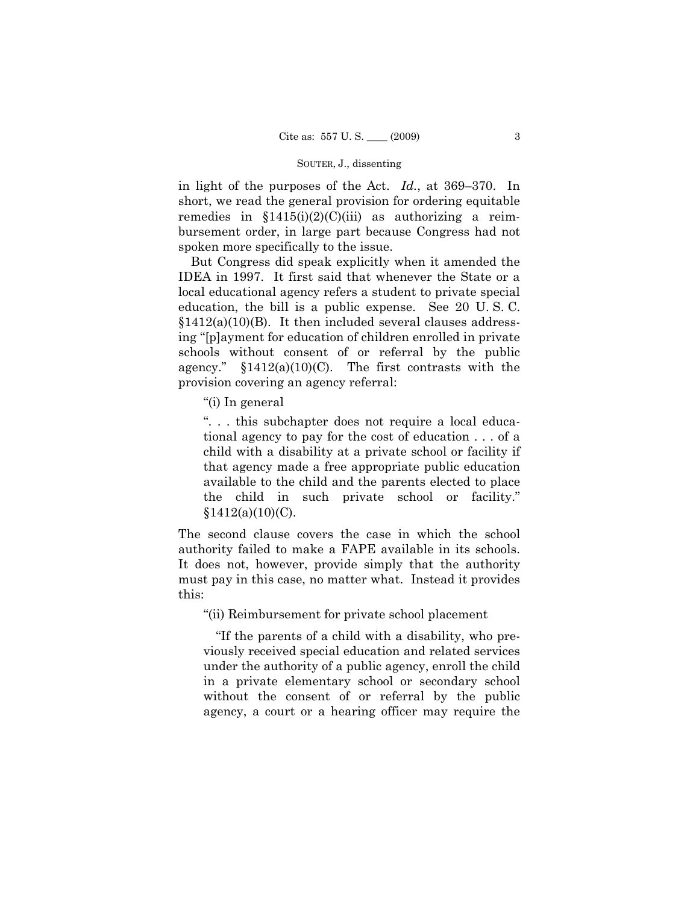in light of the purposes of the Act. *Id.*, at 369–370. In short, we read the general provision for ordering equitable remedies in  $$1415(i)(2)(C(iii)$  as authorizing a reimbursement order, in large part because Congress had not spoken more specifically to the issue.

But Congress did speak explicitly when it amended the IDEA in 1997. It first said that whenever the State or a local educational agency refers a student to private special education, the bill is a public expense. See 20 U. S. C.  $$1412(a)(10)(B)$ . It then included several clauses addressing "[p]ayment for education of children enrolled in private schools without consent of or referral by the public agency."  $$1412(a)(10)(C)$ . The first contrasts with the provision covering an agency referral:

"(i) In general

". . . this subchapter does not require a local educational agency to pay for the cost of education . . . of a child with a disability at a private school or facility if that agency made a free appropriate public education available to the child and the parents elected to place the child in such private school or facility."  $$1412(a)(10)(C)$ .

The second clause covers the case in which the school authority failed to make a FAPE available in its schools. It does not, however, provide simply that the authority must pay in this case, no matter what. Instead it provides this:

"(ii) Reimbursement for private school placement

"If the parents of a child with a disability, who previously received special education and related services under the authority of a public agency, enroll the child in a private elementary school or secondary school without the consent of or referral by the public agency, a court or a hearing officer may require the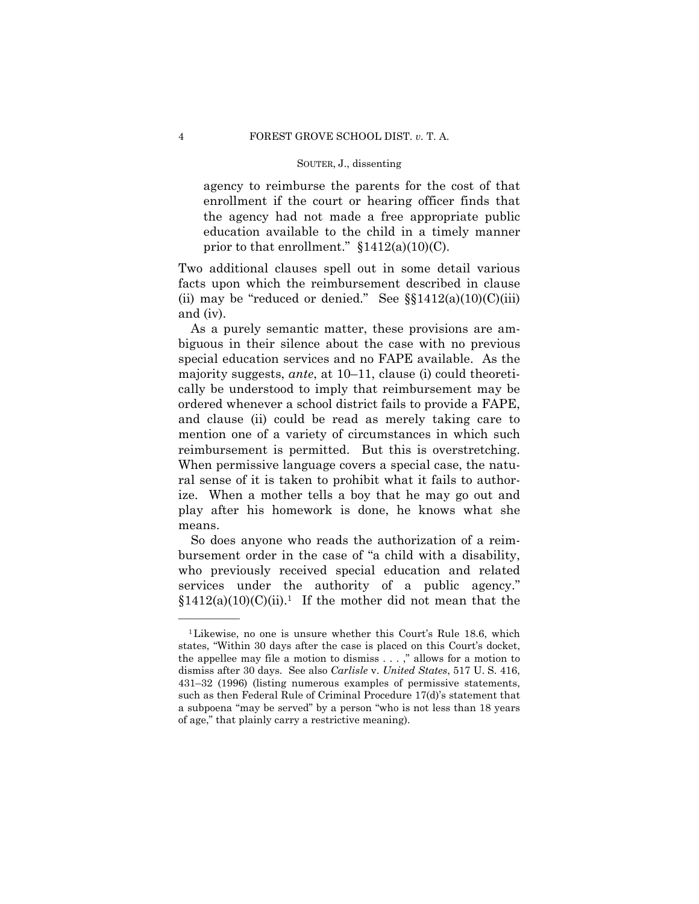agency to reimburse the parents for the cost of that enrollment if the court or hearing officer finds that the agency had not made a free appropriate public education available to the child in a timely manner prior to that enrollment."  $$1412(a)(10)(C)$ .

Two additional clauses spell out in some detail various facts upon which the reimbursement described in clause (ii) may be "reduced or denied." See  $\S$  $1412(a)(10)(C)(iii)$ and (iv).

As a purely semantic matter, these provisions are ambiguous in their silence about the case with no previous special education services and no FAPE available. As the majority suggests, *ante*, at 10–11, clause (i) could theoretically be understood to imply that reimbursement may be ordered whenever a school district fails to provide a FAPE, and clause (ii) could be read as merely taking care to mention one of a variety of circumstances in which such reimbursement is permitted. But this is overstretching. When permissive language covers a special case, the natural sense of it is taken to prohibit what it fails to authorize. When a mother tells a boy that he may go out and play after his homework is done, he knows what she means.

So does anyone who reads the authorization of a reimbursement order in the case of "a child with a disability, who previously received special education and related services under the authority of a public agency."  $$1412(a)(10)(C)(ii).$ <sup>1</sup> If the mother did not mean that the

<sup>1</sup>Likewise, no one is unsure whether this Court's Rule 18.6, which states, "Within 30 days after the case is placed on this Court's docket, the appellee may file a motion to dismiss . . . ," allows for a motion to dismiss after 30 days. See also *Carlisle* v. *United States*, 517 U. S. 416, 431–32 (1996) (listing numerous examples of permissive statements, such as then Federal Rule of Criminal Procedure 17(d)'s statement that a subpoena "may be served" by a person "who is not less than 18 years of age," that plainly carry a restrictive meaning).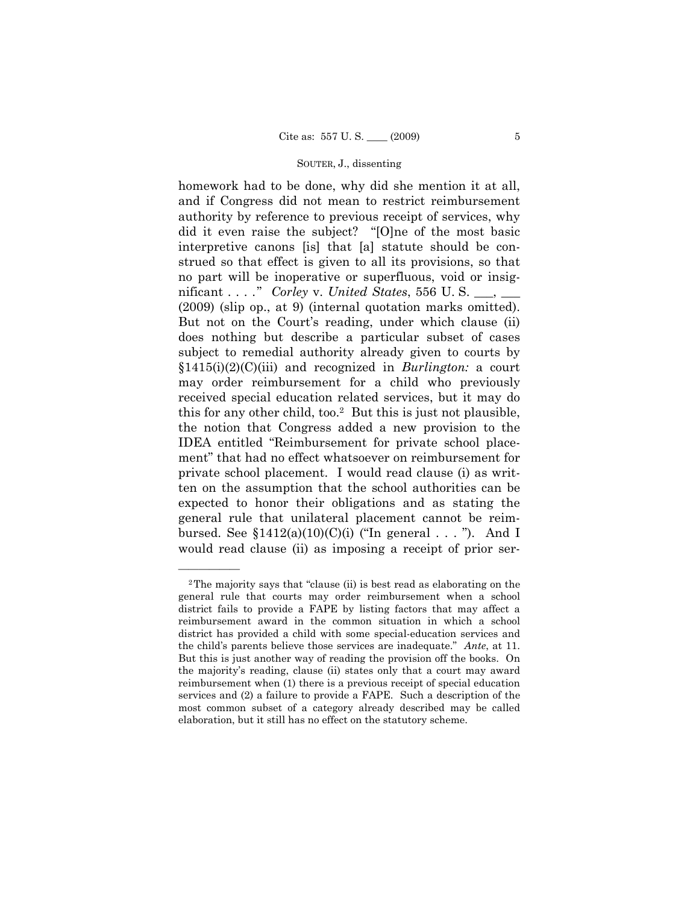homework had to be done, why did she mention it at all, and if Congress did not mean to restrict reimbursement authority by reference to previous receipt of services, why did it even raise the subject? "[O]ne of the most basic interpretive canons [is] that [a] statute should be construed so that effect is given to all its provisions, so that no part will be inoperative or superfluous, void or insignificant . . . ." *Corley* v. *United States*, 556 U. S. \_\_\_, \_\_\_ (2009) (slip op., at 9) (internal quotation marks omitted). But not on the Court's reading, under which clause (ii) does nothing but describe a particular subset of cases subject to remedial authority already given to courts by §1415(i)(2)(C)(iii) and recognized in *Burlington:* a court may order reimbursement for a child who previously received special education related services, but it may do this for any other child, too.2 But this is just not plausible, the notion that Congress added a new provision to the IDEA entitled "Reimbursement for private school placement" that had no effect whatsoever on reimbursement for private school placement. I would read clause (i) as written on the assumption that the school authorities can be expected to honor their obligations and as stating the general rule that unilateral placement cannot be reimbursed. See  $$1412(a)(10)(C)(i)$  ("In general . . . "). And I would read clause (ii) as imposing a receipt of prior ser-

<sup>2</sup>The majority says that "clause (ii) is best read as elaborating on the general rule that courts may order reimbursement when a school district fails to provide a FAPE by listing factors that may affect a reimbursement award in the common situation in which a school district has provided a child with some special-education services and the child's parents believe those services are inadequate." *Ante*, at 11. But this is just another way of reading the provision off the books. On the majority's reading, clause (ii) states only that a court may award reimbursement when (1) there is a previous receipt of special education services and (2) a failure to provide a FAPE. Such a description of the most common subset of a category already described may be called elaboration, but it still has no effect on the statutory scheme.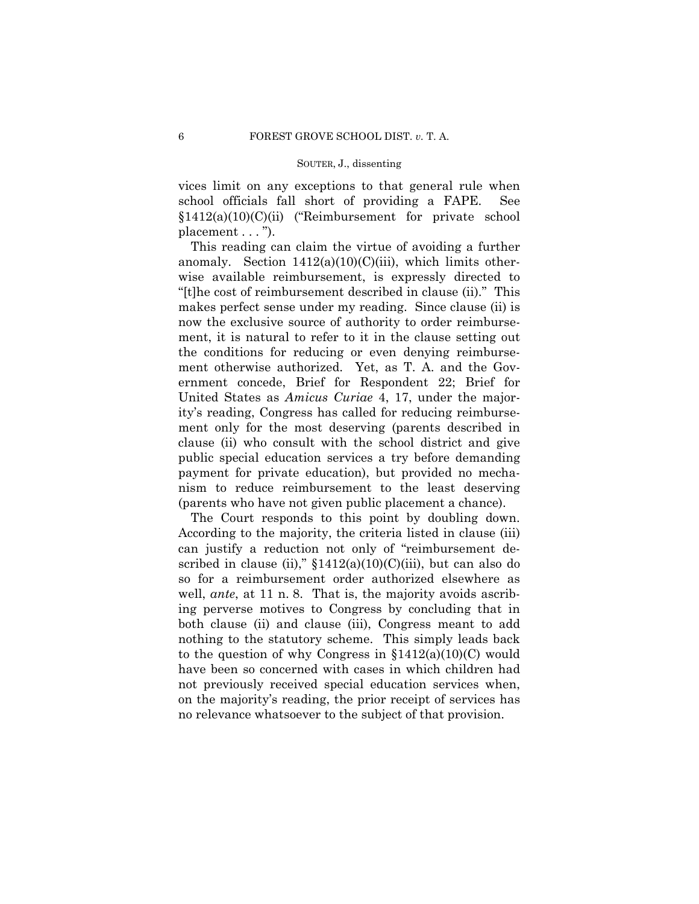vices limit on any exceptions to that general rule when school officials fall short of providing a FAPE. See §1412(a)(10)(C)(ii) ("Reimbursement for private school placement . . . ").

This reading can claim the virtue of avoiding a further anomaly. Section  $1412(a)(10)(C)(iii)$ , which limits otherwise available reimbursement, is expressly directed to "[t]he cost of reimbursement described in clause (ii)." This makes perfect sense under my reading. Since clause (ii) is now the exclusive source of authority to order reimbursement, it is natural to refer to it in the clause setting out the conditions for reducing or even denying reimbursement otherwise authorized. Yet, as T. A. and the Government concede, Brief for Respondent 22; Brief for United States as *Amicus Curiae* 4, 17, under the majority's reading, Congress has called for reducing reimbursement only for the most deserving (parents described in clause (ii) who consult with the school district and give public special education services a try before demanding payment for private education), but provided no mechanism to reduce reimbursement to the least deserving (parents who have not given public placement a chance).

The Court responds to this point by doubling down. According to the majority, the criteria listed in clause (iii) can justify a reduction not only of "reimbursement described in clause (ii),"  $$1412(a)(10)(C)(iii)$ , but can also do so for a reimbursement order authorized elsewhere as well, *ante*, at 11 n. 8. That is, the majority avoids ascribing perverse motives to Congress by concluding that in both clause (ii) and clause (iii), Congress meant to add nothing to the statutory scheme. This simply leads back to the question of why Congress in  $$1412(a)(10)(C)$  would have been so concerned with cases in which children had not previously received special education services when, on the majority's reading, the prior receipt of services has no relevance whatsoever to the subject of that provision.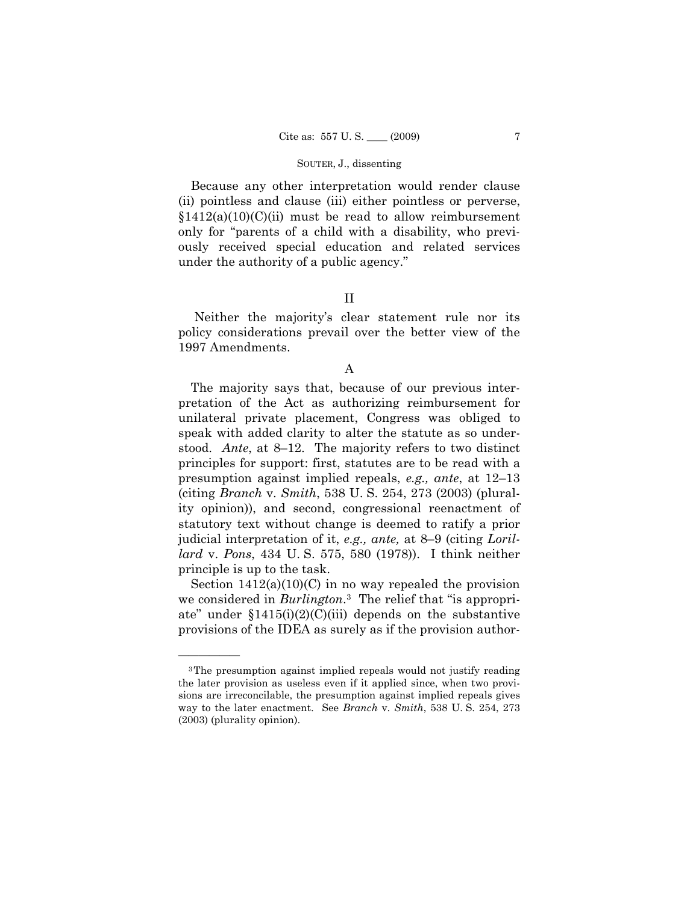Because any other interpretation would render clause (ii) pointless and clause (iii) either pointless or perverse,  $$1412(a)(10)(C)(ii)$  must be read to allow reimbursement only for "parents of a child with a disability, who previously received special education and related services under the authority of a public agency."

# II

Neither the majority's clear statement rule nor its policy considerations prevail over the better view of the 1997 Amendments.

### A

The majority says that, because of our previous interpretation of the Act as authorizing reimbursement for unilateral private placement, Congress was obliged to speak with added clarity to alter the statute as so understood. *Ante*, at 8–12. The majority refers to two distinct principles for support: first, statutes are to be read with a presumption against implied repeals, *e.g., ante*, at 12–13 (citing *Branch* v. *Smith*, 538 U. S. 254, 273 (2003) (plurality opinion)), and second, congressional reenactment of statutory text without change is deemed to ratify a prior judicial interpretation of it, *e.g., ante,* at 8–9 (citing *Lorillard* v. *Pons*, 434 U. S. 575, 580 (1978)). I think neither principle is up to the task.

Section  $1412(a)(10)(C)$  in no way repealed the provision we considered in *Burlington*.3 The relief that "is appropriate" under  $$1415(i)(2)(C(iii)$  depends on the substantive provisions of the IDEA as surely as if the provision author-

<sup>3</sup>The presumption against implied repeals would not justify reading the later provision as useless even if it applied since, when two provisions are irreconcilable, the presumption against implied repeals gives way to the later enactment. See *Branch* v. *Smith*, 538 U. S. 254, 273 (2003) (plurality opinion).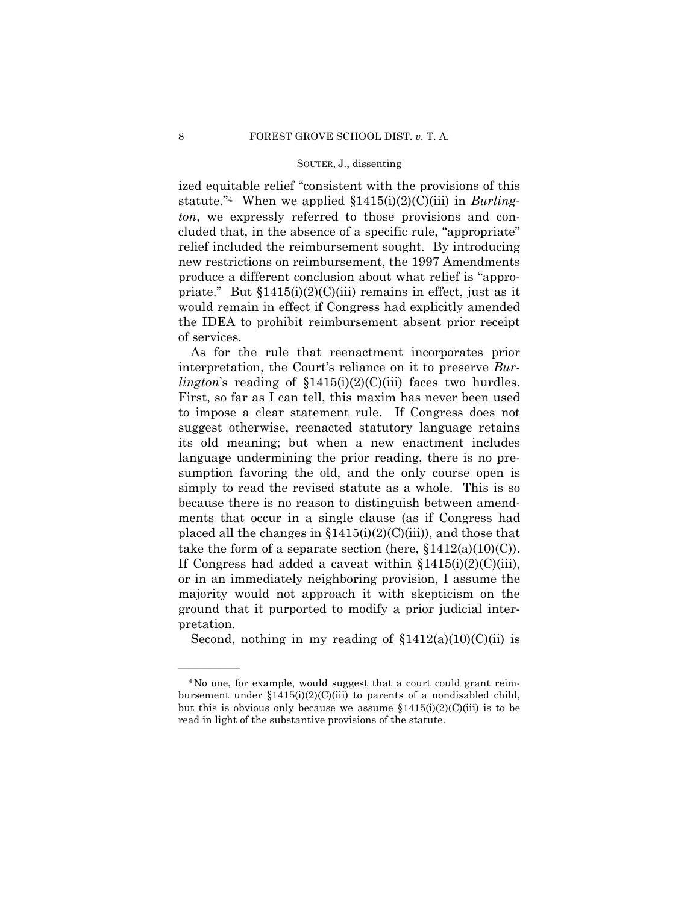ized equitable relief "consistent with the provisions of this statute."4 When we applied §1415(i)(2)(C)(iii) in *Burlington*, we expressly referred to those provisions and concluded that, in the absence of a specific rule, "appropriate" relief included the reimbursement sought. By introducing new restrictions on reimbursement, the 1997 Amendments produce a different conclusion about what relief is "appropriate." But  $$1415(i)(2)(C(iii)$  remains in effect, just as it would remain in effect if Congress had explicitly amended the IDEA to prohibit reimbursement absent prior receipt of services.

As for the rule that reenactment incorporates prior interpretation, the Court's reliance on it to preserve *Burlington*'s reading of  $$1415(i)(2)(C(iii)$  faces two hurdles. First, so far as I can tell, this maxim has never been used to impose a clear statement rule. If Congress does not suggest otherwise, reenacted statutory language retains its old meaning; but when a new enactment includes language undermining the prior reading, there is no presumption favoring the old, and the only course open is simply to read the revised statute as a whole. This is so because there is no reason to distinguish between amendments that occur in a single clause (as if Congress had placed all the changes in  $$1415(i)(2)(C(iii))$ , and those that take the form of a separate section (here,  $$1412(a)(10)(C)$ ). If Congress had added a caveat within  $$1415(i)(2)(C(iii))$ , or in an immediately neighboring provision, I assume the majority would not approach it with skepticism on the ground that it purported to modify a prior judicial interpretation.

Second, nothing in my reading of  $$1412(a)(10)(C)(ii)$  is

<sup>4</sup>No one, for example, would suggest that a court could grant reimbursement under  $$1415(i)(2)(C(iii)$  to parents of a nondisabled child, but this is obvious only because we assume  $$1415(i)(2)(C(iii))$  is to be read in light of the substantive provisions of the statute.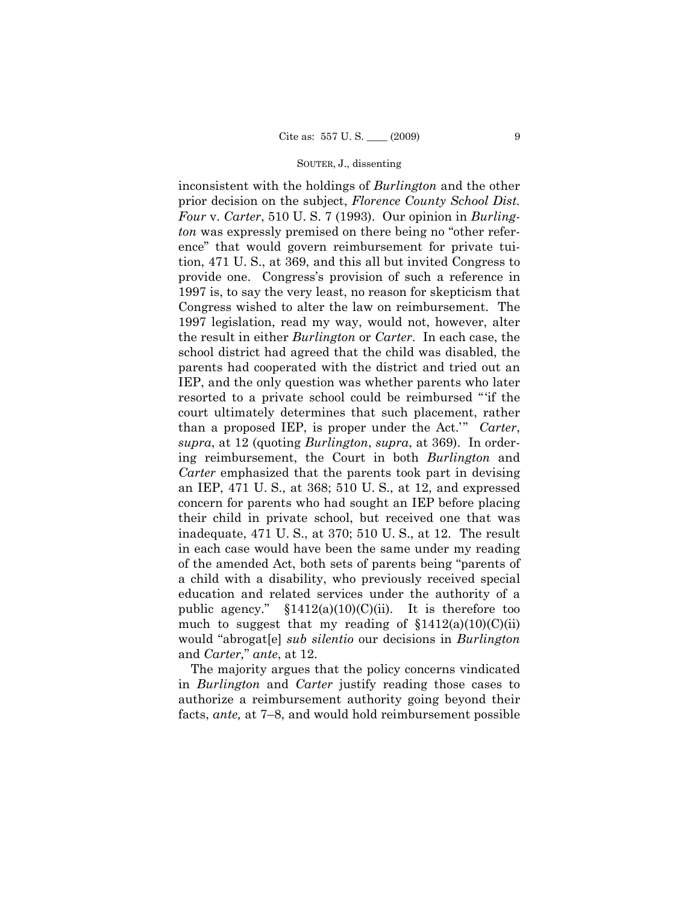inconsistent with the holdings of *Burlington* and the other prior decision on the subject, *Florence County School Dist. Four* v. *Carter*, 510 U. S. 7 (1993). Our opinion in *Burlington* was expressly premised on there being no "other reference" that would govern reimbursement for private tuition, 471 U. S., at 369, and this all but invited Congress to provide one. Congress's provision of such a reference in 1997 is, to say the very least, no reason for skepticism that Congress wished to alter the law on reimbursement. The 1997 legislation, read my way, would not, however, alter the result in either *Burlington* or *Carter*. In each case, the school district had agreed that the child was disabled, the parents had cooperated with the district and tried out an IEP, and the only question was whether parents who later resorted to a private school could be reimbursed "'if the court ultimately determines that such placement, rather than a proposed IEP, is proper under the Act.'" *Carter*, *supra*, at 12 (quoting *Burlington*, *supra*, at 369). In ordering reimbursement, the Court in both *Burlington* and *Carter* emphasized that the parents took part in devising an IEP, 471 U. S., at 368; 510 U. S., at 12, and expressed concern for parents who had sought an IEP before placing their child in private school, but received one that was inadequate, 471 U. S., at 370; 510 U. S., at 12. The result in each case would have been the same under my reading of the amended Act, both sets of parents being "parents of a child with a disability, who previously received special education and related services under the authority of a public agency."  $$1412(a)(10)(C)(ii)$ . It is therefore too much to suggest that my reading of  $$1412(a)(10)(C(ii)$ would "abrogat[e] *sub silentio* our decisions in *Burlington*  and *Carter,*" *ante*, at 12.

The majority argues that the policy concerns vindicated in *Burlington* and *Carter* justify reading those cases to authorize a reimbursement authority going beyond their facts, *ante,* at 7–8, and would hold reimbursement possible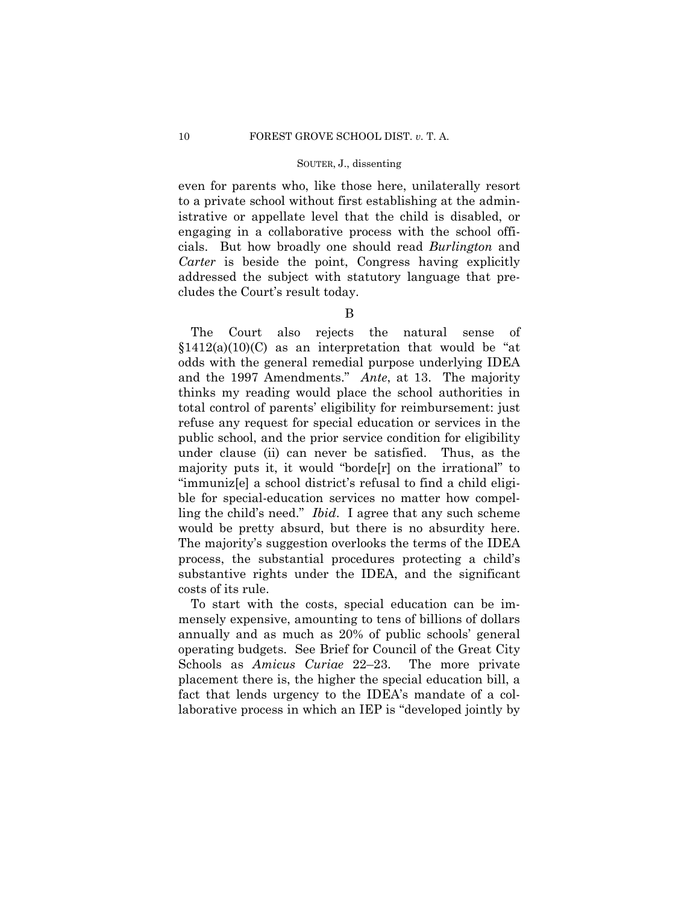even for parents who, like those here, unilaterally resort to a private school without first establishing at the administrative or appellate level that the child is disabled, or engaging in a collaborative process with the school officials. But how broadly one should read *Burlington* and *Carter* is beside the point, Congress having explicitly addressed the subject with statutory language that precludes the Court's result today.

# B

The Court also rejects the natural sense of  $$1412(a)(10)(C)$  as an interpretation that would be "at odds with the general remedial purpose underlying IDEA and the 1997 Amendments." *Ante*, at 13. The majority thinks my reading would place the school authorities in total control of parents' eligibility for reimbursement: just refuse any request for special education or services in the public school, and the prior service condition for eligibility under clause (ii) can never be satisfied. Thus, as the majority puts it, it would "borde[r] on the irrational" to "immuniz[e] a school district's refusal to find a child eligible for special-education services no matter how compelling the child's need." *Ibid*. I agree that any such scheme would be pretty absurd, but there is no absurdity here. The majority's suggestion overlooks the terms of the IDEA process, the substantial procedures protecting a child's substantive rights under the IDEA, and the significant costs of its rule.

To start with the costs, special education can be immensely expensive, amounting to tens of billions of dollars annually and as much as 20% of public schools' general operating budgets. See Brief for Council of the Great City Schools as *Amicus Curiae* 22–23. The more private placement there is, the higher the special education bill, a fact that lends urgency to the IDEA's mandate of a collaborative process in which an IEP is "developed jointly by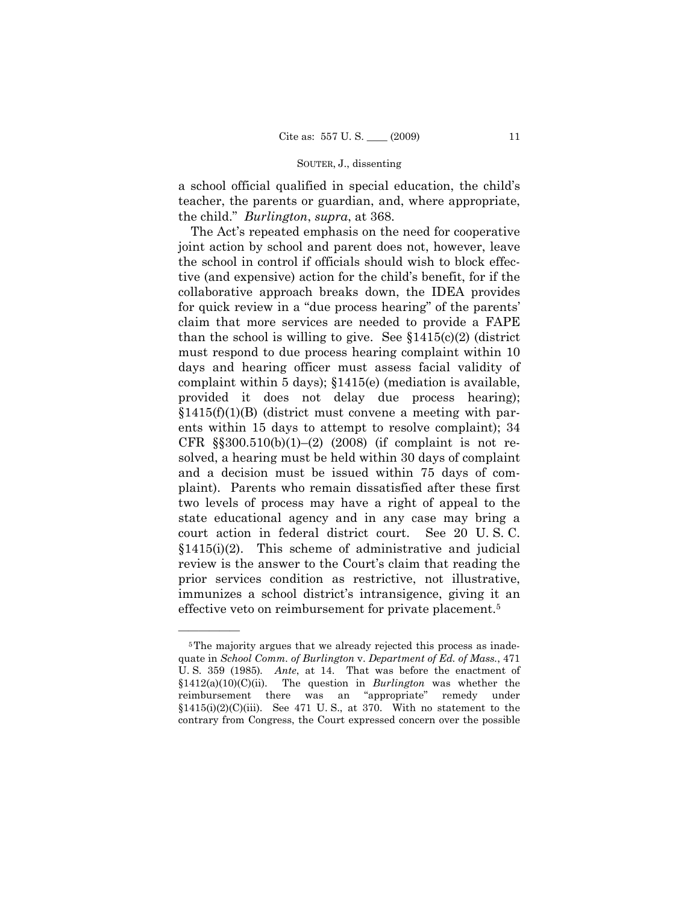a school official qualified in special education, the child's teacher, the parents or guardian, and, where appropriate, the child." *Burlington*, *supra*, at 368.

The Act's repeated emphasis on the need for cooperative joint action by school and parent does not, however, leave the school in control if officials should wish to block effective (and expensive) action for the child's benefit, for if the collaborative approach breaks down, the IDEA provides for quick review in a "due process hearing" of the parents' claim that more services are needed to provide a FAPE than the school is willing to give. See  $$1415(c)(2)$  (district must respond to due process hearing complaint within 10 days and hearing officer must assess facial validity of complaint within 5 days); §1415(e) (mediation is available, provided it does not delay due process hearing);  $$1415(f)(1)(B)$  (district must convene a meeting with parents within 15 days to attempt to resolve complaint); 34 CFR  $\S$ \$300.510(b)(1)–(2) (2008) (if complaint is not resolved, a hearing must be held within 30 days of complaint and a decision must be issued within 75 days of complaint). Parents who remain dissatisfied after these first two levels of process may have a right of appeal to the state educational agency and in any case may bring a court action in federal district court. See 20 U. S. C.  $§1415(i)(2)$ . This scheme of administrative and judicial review is the answer to the Court's claim that reading the prior services condition as restrictive, not illustrative, immunizes a school district's intransigence, giving it an effective veto on reimbursement for private placement.5

<sup>&</sup>lt;sup>5</sup>The majority argues that we already rejected this process as inadequate in *School Comm. of Burlington* v. *Department of Ed. of Mass.*, 471 U. S. 359 (1985)*. Ante*, at 14. That was before the enactment of §1412(a)(10)(C)(ii). The question in *Burlington* was whether the reimbursement there was an "appropriate" remedy under  $$1415(i)(2)(C(iii)$ . See 471 U.S., at 370. With no statement to the contrary from Congress, the Court expressed concern over the possible